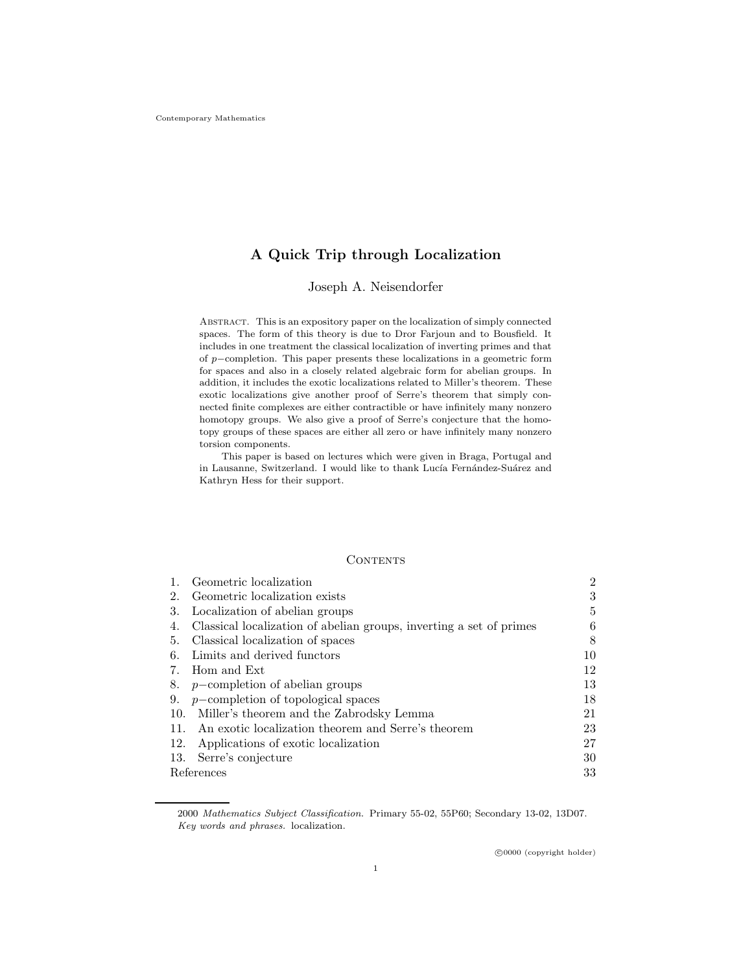# A Quick Trip through Localization

## Joseph A. Neisendorfer

Abstract. This is an expository paper on the localization of simply connected spaces. The form of this theory is due to Dror Farjoun and to Bousfield. It includes in one treatment the classical localization of inverting primes and that of p−completion. This paper presents these localizations in a geometric form for spaces and also in a closely related algebraic form for abelian groups. In addition, it includes the exotic localizations related to Miller's theorem. These exotic localizations give another proof of Serre's theorem that simply connected finite complexes are either contractible or have infinitely many nonzero homotopy groups. We also give a proof of Serre's conjecture that the homotopy groups of these spaces are either all zero or have infinitely many nonzero torsion components.

This paper is based on lectures which were given in Braga, Portugal and in Lausanne, Switzerland. I would like to thank Lucía Fernández-Suárez and Kathryn Hess for their support.

## **CONTENTS**

|            | Geometric localization                                              | $\overline{2}$ |
|------------|---------------------------------------------------------------------|----------------|
| 2.         | Geometric localization exists                                       | 3              |
| 3.         | Localization of abelian groups                                      | 5              |
| 4.         | Classical localization of abelian groups, inverting a set of primes | 6              |
| 5.         | Classical localization of spaces                                    | 8              |
| 6.         | Limits and derived functors                                         | 10             |
| 7.         | Hom and Ext                                                         | 12             |
| 8.         | $p$ -completion of abelian groups                                   | 13             |
| 9.         | $p$ -completion of topological spaces                               | 18             |
| 10.        | Miller's theorem and the Zabrodsky Lemma                            | 21             |
| 11.        | An exotic localization theorem and Serre's theorem                  | 23             |
| 12.        | Applications of exotic localization                                 | 27             |
| 13.        | Serre's conjecture                                                  | 30             |
| References |                                                                     | 33             |

2000 Mathematics Subject Classification. Primary 55-02, 55P60; Secondary 13-02, 13D07. Key words and phrases. localization.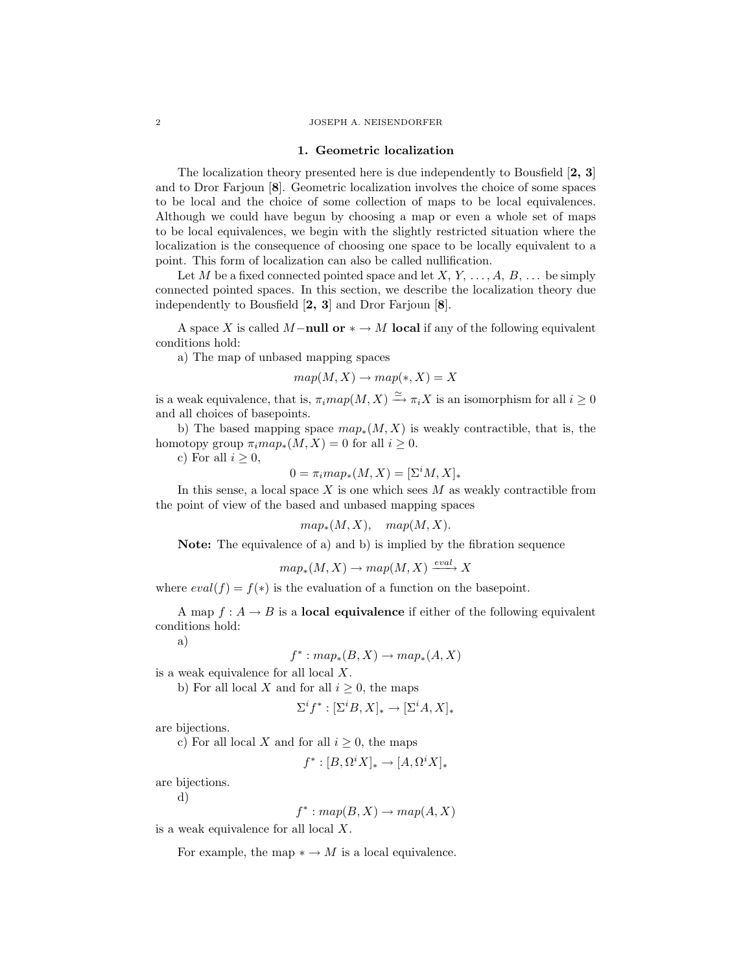#### 2 JOSEPH A. NEISENDORFER

#### 1. Geometric localization

The localization theory presented here is due independently to Bousfield [2, 3] and to Dror Farjoun [8]. Geometric localization involves the choice of some spaces to be local and the choice of some collection of maps to be local equivalences. Although we could have begun by choosing a map or even a whole set of maps to be local equivalences, we begin with the slightly restricted situation where the localization is the consequence of choosing one space to be locally equivalent to a point. This form of localization can also be called nullification.

Let M be a fixed connected pointed space and let  $X, Y, \ldots, A, B, \ldots$  be simply connected pointed spaces. In this section, we describe the localization theory due independently to Bousfield [2, 3] and Dror Farjoun [8].

A space X is called M-null or  $* \rightarrow M$  local if any of the following equivalent conditions hold:

a) The map of unbased mapping spaces

 $map(M, X) \rightarrow map(*, X) = X$ 

is a weak equivalence, that is,  $\pi_i map(M, X) \stackrel{\simeq}{\longrightarrow} \pi_i X$  is an isomorphism for all  $i \geq 0$ and all choices of basepoints.

b) The based mapping space  $map_*(M, X)$  is weakly contractible, that is, the homotopy group  $\pi_i map_*(M, X) = 0$  for all  $i \geq 0$ .

c) For all  $i \geq 0$ ,

$$
0 = \pi_i map_*(M, X) = [\Sigma^i M, X]_*
$$

In this sense, a local space  $X$  is one which sees  $M$  as weakly contractible from the point of view of the based and unbased mapping spaces

$$
map_*(M, X), map(M, X).
$$

Note: The equivalence of a) and b) is implied by the fibration sequence

$$
map_*(M, X) \to map(M, X) \xrightarrow{eval} X
$$

where  $eval(f) = f(*)$  is the evaluation of a function on the basepoint.

A map  $f: A \to B$  is a **local equivalence** if either of the following equivalent conditions hold:

a)

$$
f^* : map_*(B, X) \to map_*(A, X)
$$

is a weak equivalence for all local X.

b) For all local X and for all  $i \geq 0$ , the maps

$$
\Sigma^i f^* : [\Sigma^i B, X]_* \to [\Sigma^i A, X]_*
$$

are bijections.

c) For all local X and for all  $i \geq 0$ , the maps

$$
f^*: [B,\Omega^i X]_* \to [A,\Omega^i X]_*
$$

are bijections.

d)

 $f^* : map(B, X) \rightarrow map(A, X)$ 

is a weak equivalence for all local X.

For example, the map  $* \rightarrow M$  is a local equivalence.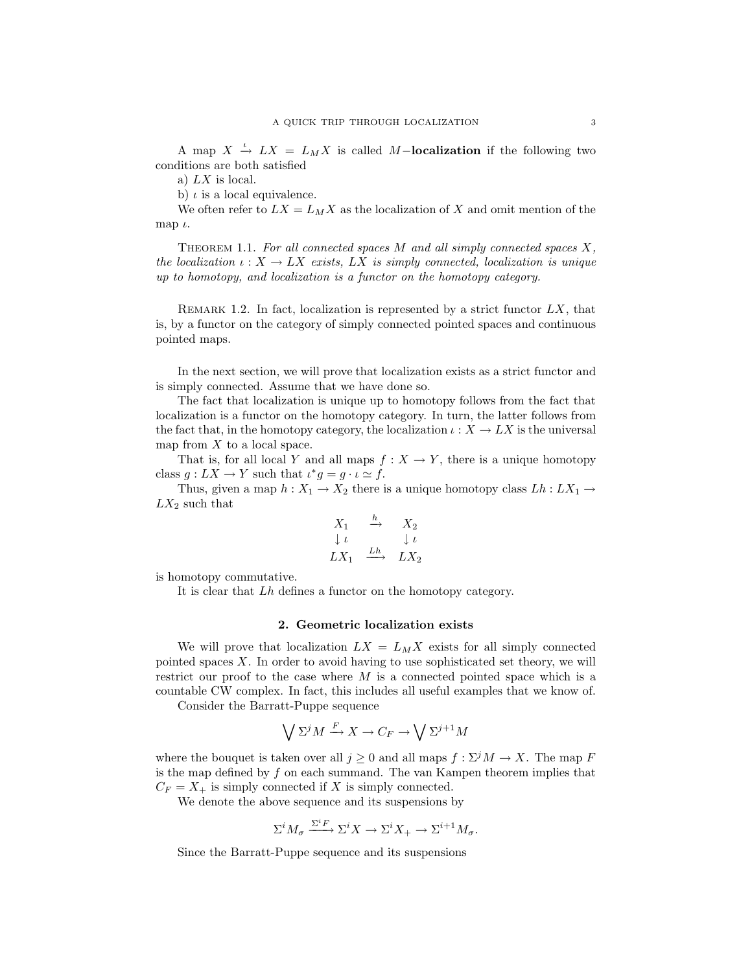A map  $X \stackrel{\iota}{\to} LX = L_M X$  is called M-localization if the following two conditions are both satisfied

a) LX is local.

b)  $\iota$  is a local equivalence.

We often refer to  $LX = L_M X$  as the localization of X and omit mention of the map  $\iota$ .

THEOREM 1.1. For all connected spaces  $M$  and all simply connected spaces  $X$ , the localization  $\iota: X \to LX$  exists, LX is simply connected, localization is unique up to homotopy, and localization is a functor on the homotopy category.

REMARK 1.2. In fact, localization is represented by a strict functor  $LX$ , that is, by a functor on the category of simply connected pointed spaces and continuous pointed maps.

In the next section, we will prove that localization exists as a strict functor and is simply connected. Assume that we have done so.

The fact that localization is unique up to homotopy follows from the fact that localization is a functor on the homotopy category. In turn, the latter follows from the fact that, in the homotopy category, the localization  $\iota : X \to LX$  is the universal map from  $X$  to a local space.

That is, for all local Y and all maps  $f: X \to Y$ , there is a unique homotopy class  $g: LX \to Y$  such that  $\iota^*g = g \cdot \iota \simeq f$ .

Thus, given a map  $h: X_1 \to X_2$  there is a unique homotopy class  $Lh: LX_1 \to$  $LX_2$  such that

$$
\begin{array}{ccc}\nX_1 & \xrightarrow{h} & X_2 \\
\downarrow \iota & & \downarrow \iota \\
LX_1 & \xrightarrow{Lh} & LX_2\n\end{array}
$$

is homotopy commutative.

It is clear that Lh defines a functor on the homotopy category.

### 2. Geometric localization exists

We will prove that localization  $LX = L_M X$  exists for all simply connected pointed spaces  $X$ . In order to avoid having to use sophisticated set theory, we will restrict our proof to the case where  $M$  is a connected pointed space which is a countable CW complex. In fact, this includes all useful examples that we know of.

Consider the Barratt-Puppe sequence

$$
\bigvee \Sigma^j M \xrightarrow{F} X \to C_F \to \bigvee \Sigma^{j+1} M
$$

where the bouquet is taken over all  $j \geq 0$  and all maps  $f : \Sigma^j M \to X$ . The map F is the map defined by f on each summand. The van Kampen theorem implies that  $C_F = X_+$  is simply connected if X is simply connected.

We denote the above sequence and its suspensions by

$$
\Sigma^i M_{\sigma} \xrightarrow{\Sigma^i F} \Sigma^i X \to \Sigma^i X_+ \to \Sigma^{i+1} M_{\sigma}.
$$

Since the Barratt-Puppe sequence and its suspensions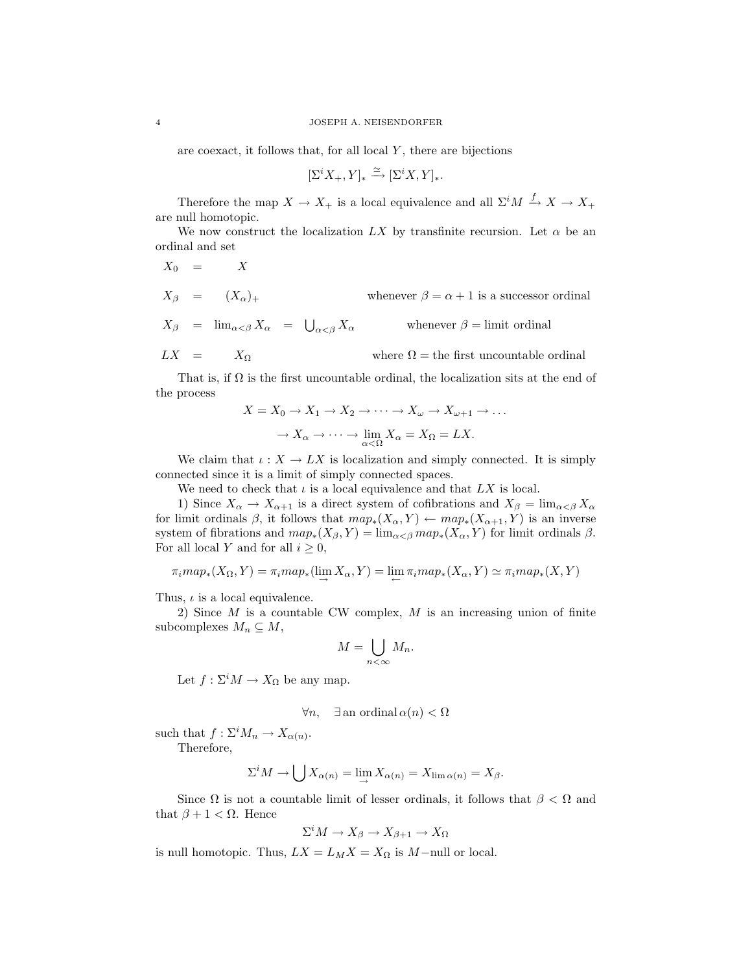are coexact, it follows that, for all local  $Y$ , there are bijections

$$
[\Sigma^i X_+,Y]_* \xrightarrow{\simeq} [\Sigma^i X,Y]_*.
$$

Therefore the map  $X \to X_+$  is a local equivalence and all  $\Sigma^i M \stackrel{f}{\to} X \to X_+$ are null homotopic.

We now construct the localization LX by transfinite recursion. Let  $\alpha$  be an ordinal and set

$$
X_0 = X
$$
  
\n
$$
X_{\beta} = (X_{\alpha})_{+}
$$
  
\n
$$
X_{\beta} = \lim_{\alpha < \beta} X_{\alpha} = \bigcup_{\alpha < \beta} X_{\alpha}
$$
  
\nwhenever  $\beta = \alpha + 1$  is a successor ordinal  
\nwhenever  $\beta = \text{limit ordinal}$   
\n
$$
LX = X_{\Omega}
$$
  
\nwhere  $\Omega =$  the first uncountable ordinal

That is, if  $\Omega$  is the first uncountable ordinal, the localization sits at the end of the process

$$
X = X_0 \to X_1 \to X_2 \to \cdots \to X_\omega \to X_{\omega+1} \to \dots
$$

$$
\to X_\alpha \to \cdots \to \lim_{\alpha < \Omega} X_\alpha = X_\Omega = LX.
$$

We claim that  $\iota: X \to LX$  is localization and simply connected. It is simply connected since it is a limit of simply connected spaces.

We need to check that  $\iota$  is a local equivalence and that  $LX$  is local.

1) Since  $X_{\alpha} \to X_{\alpha+1}$  is a direct system of cofibrations and  $X_{\beta} = \lim_{\alpha \leq \beta} X_{\alpha}$ for limit ordinals  $\beta$ , it follows that  $map_*(X_\alpha, Y) \leftarrow map_*(X_{\alpha+1}, Y)$  is an inverse system of fibrations and  $map_*(X_\beta, Y) = \lim_{\alpha \leq \beta} map_*(X_\alpha, Y)$  for limit ordinals  $\beta$ . For all local Y and for all  $i \geq 0$ ,

$$
\pi_i map_*(X_{\Omega}, Y) = \pi_i map_*(\lim_{\longrightarrow} X_{\alpha}, Y) = \lim_{\longleftarrow} \pi_i map_*(X_{\alpha}, Y) \simeq \pi_i map_*(X, Y)
$$

Thus,  $\iota$  is a local equivalence.

2) Since M is a countable CW complex, M is an increasing union of finite subcomplexes  $M_n \subseteq M$ ,

$$
M=\bigcup_{n<\infty}M_n.
$$

Let  $f: \Sigma^i M \to X_{\Omega}$  be any map.

$$
\forall n, \quad \exists \text{ an ordinal } \alpha(n) < \Omega
$$

such that  $f: \Sigma^i M_n \to X_{\alpha(n)}$ .

Therefore,

$$
\Sigma^i M \to \bigcup X_{\alpha(n)} = \lim_{\longrightarrow} X_{\alpha(n)} = X_{\lim \alpha(n)} = X_{\beta}.
$$

Since  $\Omega$  is not a countable limit of lesser ordinals, it follows that  $\beta < \Omega$  and that  $β + 1 < Ω$ . Hence

$$
\Sigma^i M \to X_\beta \to X_{\beta+1} \to X_\Omega
$$

is null homotopic. Thus,  $LX = L_M X = X_{\Omega}$  is  $M$ -null or local.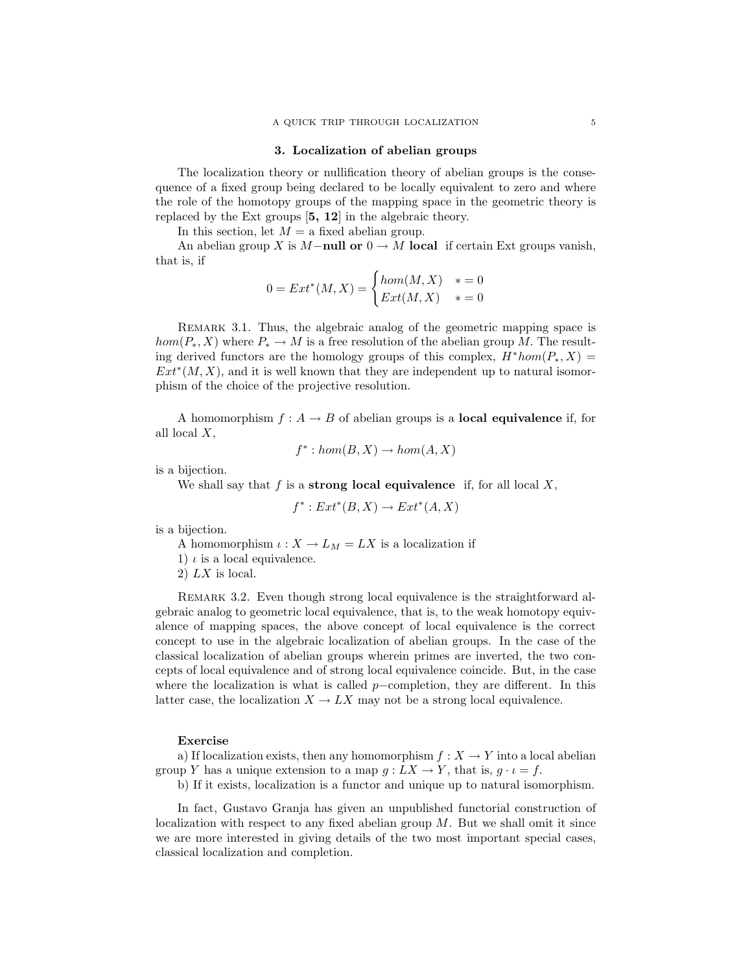#### 3. Localization of abelian groups

The localization theory or nullification theory of abelian groups is the consequence of a fixed group being declared to be locally equivalent to zero and where the role of the homotopy groups of the mapping space in the geometric theory is replaced by the Ext groups [5, 12] in the algebraic theory.

In this section, let  $M = a$  fixed abelian group.

An abelian group X is M−null or  $0 \to M$  local if certain Ext groups vanish, that is, if

$$
0 = Ext^*(M, X) = \begin{cases} hom(M, X) & * = 0 \\ Ext(M, X) & * = 0 \end{cases}
$$

Remark 3.1. Thus, the algebraic analog of the geometric mapping space is  $hom(P_*, X)$  where  $P_* \to M$  is a free resolution of the abelian group M. The resulting derived functors are the homology groups of this complex,  $H^*hom(P_*, X) =$  $Ext<sup>*</sup>(M, X)$ , and it is well known that they are independent up to natural isomorphism of the choice of the projective resolution.

A homomorphism  $f : A \to B$  of abelian groups is a **local equivalence** if, for all local X,

$$
f^* : hom(B, X) \to hom(A, X)
$$

is a bijection.

We shall say that  $f$  is a strong local equivalence if, for all local  $X$ ,

$$
f^*: Ext^*(B, X) \to Ext^*(A, X)
$$

is a bijection.

A homomorphism  $\iota: X \to L_M = LX$  is a localization if

1)  $\iota$  is a local equivalence.

2)  $LX$  is local.

REMARK 3.2. Even though strong local equivalence is the straightforward algebraic analog to geometric local equivalence, that is, to the weak homotopy equivalence of mapping spaces, the above concept of local equivalence is the correct concept to use in the algebraic localization of abelian groups. In the case of the classical localization of abelian groups wherein primes are inverted, the two concepts of local equivalence and of strong local equivalence coincide. But, in the case where the localization is what is called  $p$ –completion, they are different. In this latter case, the localization  $X \to LX$  may not be a strong local equivalence.

### Exercise

a) If localization exists, then any homomorphism  $f: X \to Y$  into a local abelian group Y has a unique extension to a map  $g: LX \to Y$ , that is,  $g \cdot \iota = f$ .

b) If it exists, localization is a functor and unique up to natural isomorphism.

In fact, Gustavo Granja has given an unpublished functorial construction of localization with respect to any fixed abelian group  $M$ . But we shall omit it since we are more interested in giving details of the two most important special cases, classical localization and completion.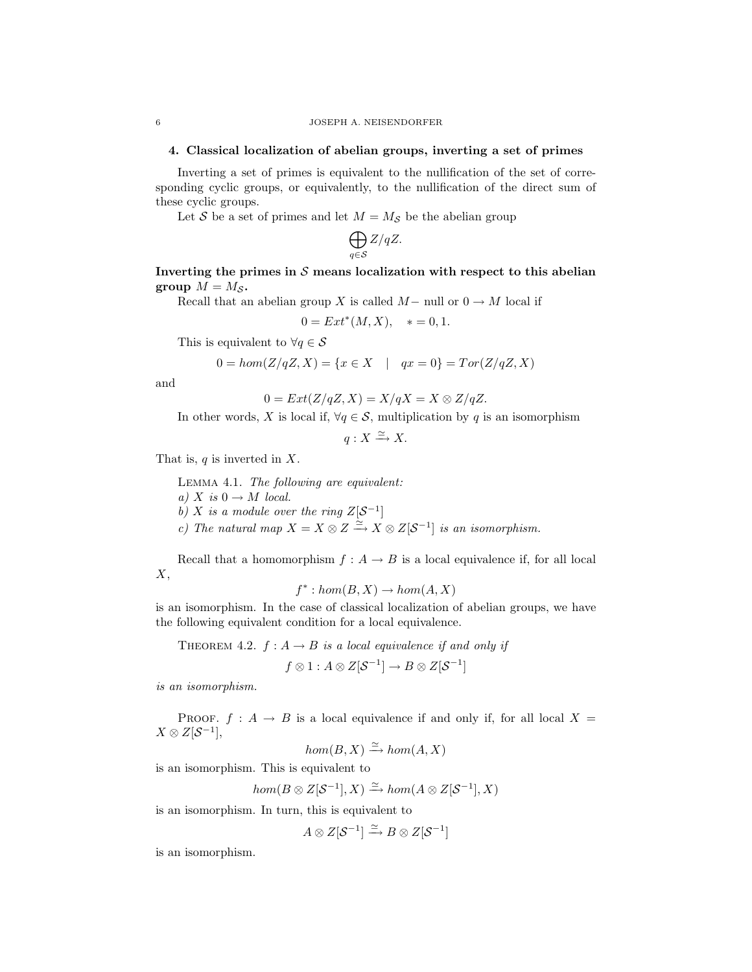## 4. Classical localization of abelian groups, inverting a set of primes

Inverting a set of primes is equivalent to the nullification of the set of corresponding cyclic groups, or equivalently, to the nullification of the direct sum of these cyclic groups.

Let S be a set of primes and let  $M = M_{\mathcal{S}}$  be the abelian group

$$
\bigoplus_{q\in\mathcal{S}}Z/qZ.
$$

## Inverting the primes in  $S$  means localization with respect to this abelian group  $M = M_{\mathcal{S}}$ .

Recall that an abelian group X is called  $M-$  null or  $0 \to M$  local if

$$
0 = Ext^*(M, X), \quad * = 0, 1.
$$

This is equivalent to  $\forall q \in \mathcal{S}$ 

$$
0 = \text{hom}(Z/qZ, X) = \{x \in X \mid qx = 0\} = \text{Tor}(Z/qZ, X)
$$

and

$$
0 = Ext(Z/qZ, X) = X/qX = X \otimes Z/qZ.
$$

In other words, X is local if,  $\forall q \in \mathcal{S}$ , multiplication by q is an isomorphism

 $q: X \xrightarrow{\simeq} X$ .

That is,  $q$  is inverted in  $X$ .

Lemma 4.1. The following are equivalent: a) X is  $0 \rightarrow M$  local. b) X is a module over the ring  $Z[\mathcal{S}^{-1}]$ c) The natural map  $X = X \otimes Z \xrightarrow{\simeq} X \otimes Z[\mathcal{S}^{-1}]$  is an isomorphism.

Recall that a homomorphism  $f : A \to B$  is a local equivalence if, for all local  $X,$ 

$$
f^* : hom(B, X) \to hom(A, X)
$$

is an isomorphism. In the case of classical localization of abelian groups, we have the following equivalent condition for a local equivalence.

THEOREM 4.2. 
$$
f : A \rightarrow B
$$
 is a local equivalence if and only if

$$
f\otimes 1:A\otimes Z[\mathcal{S}^{-1}]\to B\otimes Z[\mathcal{S}^{-1}]
$$

is an isomorphism.

PROOF.  $f : A \rightarrow B$  is a local equivalence if and only if, for all local  $X =$  $X \otimes Z[\mathcal{S}^{-1}],$ 

 $hom(B, X) \xrightarrow{\simeq} hom(A, X)$ 

is an isomorphism. This is equivalent to

$$
hom(B \otimes Z[\mathcal{S}^{-1}], X) \xrightarrow{\simeq} hom(A \otimes Z[\mathcal{S}^{-1}], X)
$$

is an isomorphism. In turn, this is equivalent to

 $A \otimes Z[\mathcal{S}^{-1}] \xrightarrow{\simeq} B \otimes Z[\mathcal{S}^{-1}]$ 

is an isomorphism.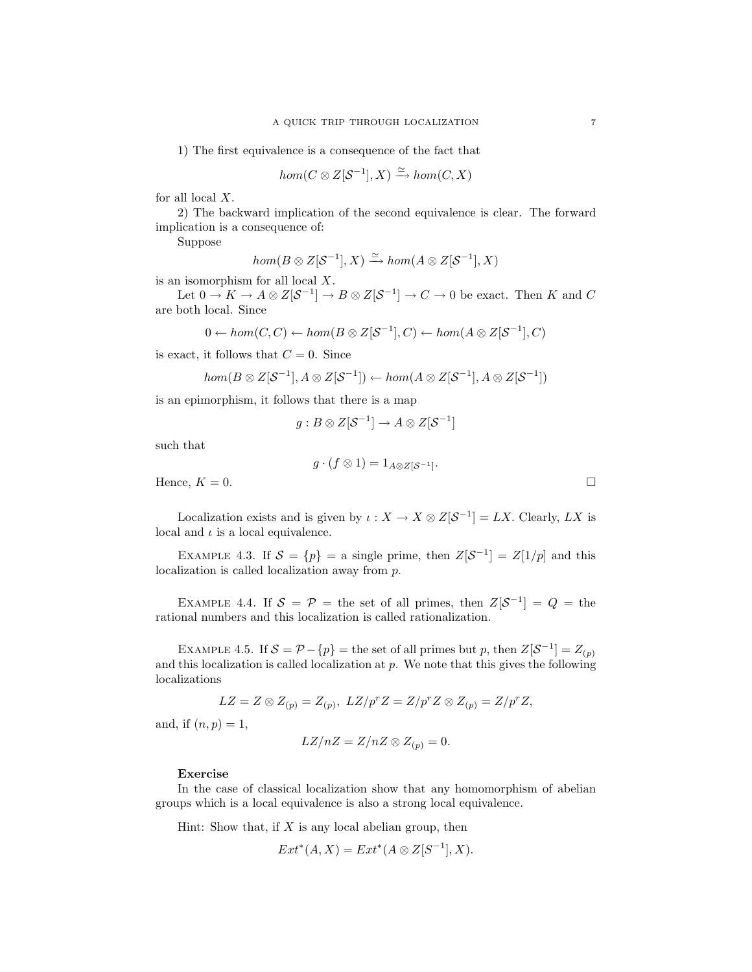1) The first equivalence is a consequence of the fact that

$$
hom(C\otimes Z[\mathcal{S}^{-1}],X)\xrightarrow{\simeq}hom(C,X)
$$

for all local  $X$ .

2) The backward implication of the second equivalence is clear. The forward implication is a consequence of:

Suppose

$$
hom(B \otimes Z[\mathcal{S}^{-1}], X) \xrightarrow{\simeq} hom(A \otimes Z[\mathcal{S}^{-1}], X)
$$

is an isomorphism for all local  $X$ .

Let  $0 \to K \to A \otimes Z[\mathcal{S}^{-1}] \to B \otimes Z[\mathcal{S}^{-1}] \to C \to 0$  be exact. Then K and C are both local. Since

$$
0 \leftarrow hom(C, C) \leftarrow hom(B \otimes Z[\mathcal{S}^{-1}], C) \leftarrow hom(A \otimes Z[\mathcal{S}^{-1}], C)
$$

is exact, it follows that  $C = 0$ . Since

$$
hom(B \otimes Z[\mathcal{S}^{-1}], A \otimes Z[\mathcal{S}^{-1}]) \leftarrow hom(A \otimes Z[\mathcal{S}^{-1}], A \otimes Z[\mathcal{S}^{-1}])
$$

is an epimorphism, it follows that there is a map

$$
g:B\otimes Z[\mathcal{S}^{-1}]\to A\otimes Z[\mathcal{S}^{-1}]
$$

such that

$$
g \cdot (f \otimes 1) = 1_{A \otimes Z[\mathcal{S}^{-1}]}.
$$

Hence,  $K = 0$ .

Localization exists and is given by  $\iota : X \to X \otimes Z[\mathcal{S}^{-1}] = LX$ . Clearly, LX is local and  $\iota$  is a local equivalence.

EXAMPLE 4.3. If  $S = \{p\}$  = a single prime, then  $Z[S^{-1}] = Z[1/p]$  and this localization is called localization away from p.

EXAMPLE 4.4. If  $S = \mathcal{P}$  = the set of all primes, then  $Z[\mathcal{S}^{-1}] = Q =$  the rational numbers and this localization is called rationalization.

EXAMPLE 4.5. If  $S = \mathcal{P} - \{p\}$  = the set of all primes but p, then  $Z[\mathcal{S}^{-1}] = Z_{(p)}$ and this localization is called localization at  $p$ . We note that this gives the following localizations

$$
LZ = Z \otimes Z_{(p)} = Z_{(p)}, \ LZ/p^rZ = Z/p^rZ \otimes Z_{(p)} = Z/p^rZ,
$$

and, if  $(n, p) = 1$ ,

$$
LZ/nZ = Z/nZ \otimes Z_{(p)} = 0.
$$

#### Exercise

In the case of classical localization show that any homomorphism of abelian groups which is a local equivalence is also a strong local equivalence.

Hint: Show that, if  $X$  is any local abelian group, then

$$
Ext^*(A, X) = Ext^*(A \otimes Z[S^{-1}], X).
$$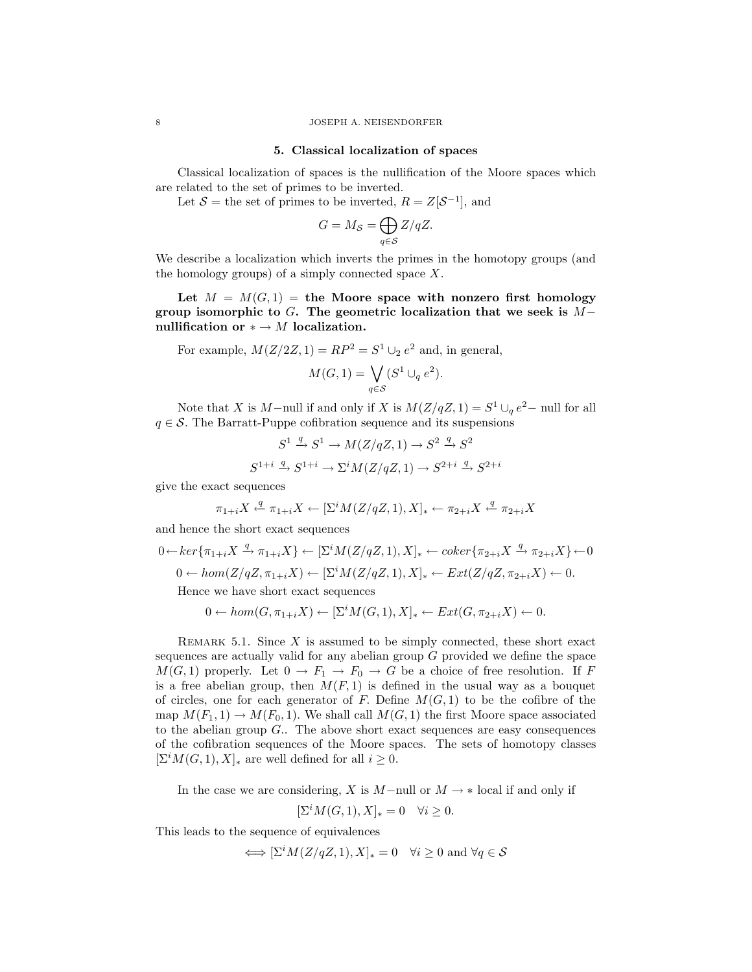#### 5. Classical localization of spaces

Classical localization of spaces is the nullification of the Moore spaces which are related to the set of primes to be inverted.

Let  $S =$  the set of primes to be inverted,  $R = Z[S^{-1}]$ , and

$$
G=M_{\mathcal{S}}=\bigoplus_{q\in\mathcal{S}}Z/qZ.
$$

We describe a localization which inverts the primes in the homotopy groups (and the homology groups) of a simply connected space  $X$ .

Let  $M = M(G, 1)$  = the Moore space with nonzero first homology group isomorphic to G. The geometric localization that we seek is  $M$ nullification or  $* \rightarrow M$  localization.

For example, 
$$
M(Z/2Z, 1) = RP^2 = S^1 \cup_2 e^2
$$
 and, in general,  

$$
M(G, 1) = \bigvee_{q \in S} (S^1 \cup_q e^2).
$$

Note that X is M-null if and only if X is  $M(Z/qZ, 1) = S^1 \cup_q e^2$ -null for all  $q \in \mathcal{S}$ . The Barratt-Puppe cofibration sequence and its suspensions

$$
S^1 \xrightarrow{q} S^1 \to M(Z/qZ, 1) \to S^2 \xrightarrow{q} S^2
$$

$$
S^{1+i} \xrightarrow{q} S^{1+i} \to \Sigma^i M(Z/qZ, 1) \to S^{2+i} \xrightarrow{q} S^{2+i}
$$

give the exact sequences

$$
\pi_{1+i}X \xleftarrow{q} \pi_{1+i}X \leftarrow [\Sigma^i M(Z/qZ, 1), X]_* \leftarrow \pi_{2+i}X \xleftarrow{q} \pi_{2+i}X
$$

and hence the short exact sequences

$$
0 \leftarrow \ker{\pi_{1+i}X} \xrightarrow{q} \pi_{1+i}X} \leftarrow [\Sigma^i M(Z/qZ, 1), X]_* \leftarrow \operatorname{coker}\{\pi_{2+i}X \xrightarrow{q} \pi_{2+i}X\} \leftarrow 0
$$
  

$$
0 \leftarrow \operatorname{hom}(Z/qZ, \pi_{1+i}X) \leftarrow [\Sigma^i M(Z/qZ, 1), X]_* \leftarrow \operatorname{Ext}(Z/qZ, \pi_{2+i}X) \leftarrow 0.
$$
  
Hence we have short exact sequences

$$
0 \leftarrow hom(G, \pi_{1+i}X) \leftarrow [\Sigma^i M(G, 1), X]_* \leftarrow Ext(G, \pi_{2+i}X) \leftarrow 0.
$$

REMARK 5.1. Since  $X$  is assumed to be simply connected, these short exact sequences are actually valid for any abelian group  $G$  provided we define the space  $M(G, 1)$  properly. Let  $0 \to F_1 \to F_0 \to G$  be a choice of free resolution. If F is a free abelian group, then  $M(F, 1)$  is defined in the usual way as a bouquet of circles, one for each generator of F. Define  $M(G, 1)$  to be the cofibre of the map  $M(F_1, 1) \to M(F_0, 1)$ . We shall call  $M(G, 1)$  the first Moore space associated to the abelian group  $G$ .. The above short exact sequences are easy consequences of the cofibration sequences of the Moore spaces. The sets of homotopy classes  $[\Sigma^{i}M(G, 1), X]_{\ast}$  are well defined for all  $i \geq 0$ .

In the case we are considering, X is M−null or  $M \to *$  local if and only if

$$
[\Sigma^i M(G, 1), X]_* = 0 \quad \forall i \ge 0.
$$

This leads to the sequence of equivalences

$$
\Longleftrightarrow [\Sigma^i M(Z/qZ, 1), X]_* = 0 \quad \forall i \ge 0 \text{ and } \forall q \in \mathcal{S}
$$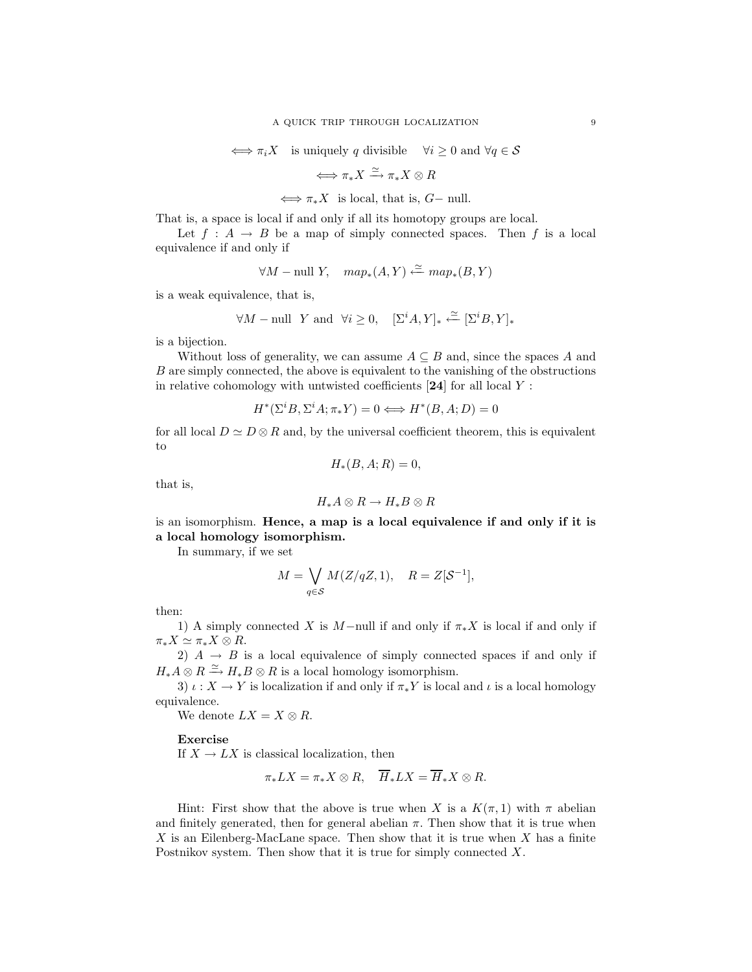$$
\iff \pi_i X \quad \text{is uniquely } q \text{ divisible } \quad \forall i \ge 0 \text{ and } \forall q \in \mathcal{S}
$$

$$
\Longleftrightarrow \pi_{*}X \xrightarrow{\simeq} \pi_{*}X \otimes R
$$

 $\iff \pi_* X$  is local, that is,  $G-$  null.

That is, a space is local if and only if all its homotopy groups are local.

Let  $f : A \to B$  be a map of simply connected spaces. Then f is a local equivalence if and only if

$$
\forall M-\text{null } Y, \quad map_*(A,Y) \xleftarrow{\simeq} map_*(B,Y)
$$

is a weak equivalence, that is,

$$
\forall M-\text{null} \ \ Y \ \text{and} \ \ \forall i \geq 0, \quad [\Sigma^{i}A,Y]_{*} \stackrel{\simeq}{\longleftarrow} [\Sigma^{i}B,Y]_{*}
$$

is a bijection.

Without loss of generality, we can assume  $A \subseteq B$  and, since the spaces A and B are simply connected, the above is equivalent to the vanishing of the obstructions in relative cohomology with untwisted coefficients  $[24]$  for all local Y :

$$
H^*(\Sigma^i B, \Sigma^i A; \pi_* Y) = 0 \Longleftrightarrow H^*(B, A; D) = 0
$$

for all local  $D \simeq D \otimes R$  and, by the universal coefficient theorem, this is equivalent to

$$
H_*(B, A; R) = 0,
$$

that is,

$$
H_*A\otimes R\to H_*B\otimes R
$$

is an isomorphism. Hence, a map is a local equivalence if and only if it is a local homology isomorphism.

In summary, if we set

$$
M = \bigvee_{q \in \mathcal{S}} M(Z/qZ, 1), \quad R = Z[\mathcal{S}^{-1}],
$$

then:

1) A simply connected X is M-null if and only if  $\pi_* X$  is local if and only if  $\pi_* X \simeq \pi_* X \otimes R$ .

2)  $A \rightarrow B$  is a local equivalence of simply connected spaces if and only if  $H_*A\otimes R \xrightarrow{\simeq} H_*B\otimes R$  is a local homology isomorphism.

3)  $\iota: X \to Y$  is localization if and only if  $\pi_* Y$  is local and  $\iota$  is a local homology equivalence.

We denote  $LX = X \otimes R$ .

Exercise

If  $X \to LX$  is classical localization, then

$$
\pi_* LX = \pi_* X \otimes R, \quad \overline{H}_* LX = \overline{H}_* X \otimes R.
$$

Hint: First show that the above is true when X is a  $K(\pi, 1)$  with  $\pi$  abelian and finitely generated, then for general abelian  $\pi$ . Then show that it is true when X is an Eilenberg-MacLane space. Then show that it is true when X has a finite Postnikov system. Then show that it is true for simply connected X.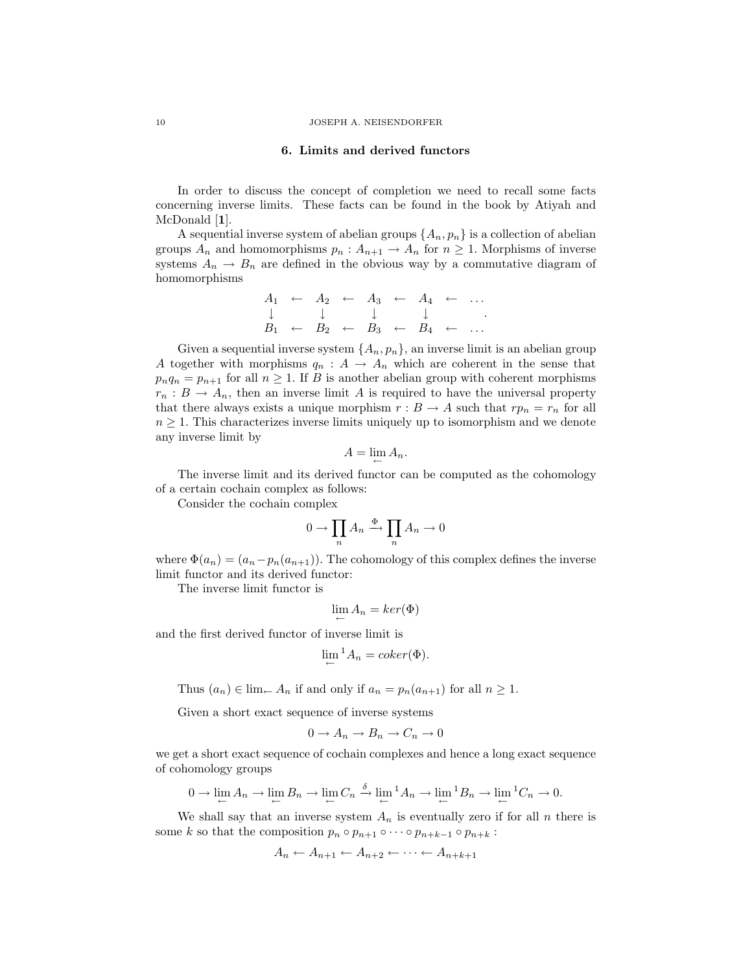#### 6. Limits and derived functors

In order to discuss the concept of completion we need to recall some facts concerning inverse limits. These facts can be found in the book by Atiyah and McDonald [1].

A sequential inverse system of abelian groups  $\{A_n, p_n\}$  is a collection of abelian groups  $A_n$  and homomorphisms  $p_n : A_{n+1} \to A_n$  for  $n \geq 1$ . Morphisms of inverse systems  $A_n \to B_n$  are defined in the obvious way by a commutative diagram of homomorphisms

$$
\begin{array}{ccccccccccc}\nA_1 & \leftarrow & A_2 & \leftarrow & A_3 & \leftarrow & A_4 & \leftarrow & \dots \\
\downarrow & & \downarrow & & \downarrow & & \downarrow & & \dots \\
B_1 & \leftarrow & B_2 & \leftarrow & B_3 & \leftarrow & B_4 & \leftarrow & \dots\n\end{array}
$$

Given a sequential inverse system  $\{A_n, p_n\}$ , an inverse limit is an abelian group A together with morphisms  $q_n: A \to A_n$  which are coherent in the sense that  $p_nq_n = p_{n+1}$  for all  $n \geq 1$ . If B is another abelian group with coherent morphisms  $r_n : B \to A_n$ , then an inverse limit A is required to have the universal property that there always exists a unique morphism  $r : B \to A$  such that  $rp_n = r_n$  for all  $n \geq 1$ . This characterizes inverse limits uniquely up to isomorphism and we denote any inverse limit by

$$
A=\lim_{\leftarrow} A_n.
$$

The inverse limit and its derived functor can be computed as the cohomology of a certain cochain complex as follows:

Consider the cochain complex

$$
0 \to \prod_n A_n \xrightarrow{\Phi} \prod_n A_n \to 0
$$

where  $\Phi(a_n) = (a_n - p_n(a_{n+1}))$ . The cohomology of this complex defines the inverse limit functor and its derived functor:

The inverse limit functor is

$$
\lim_{\leftarrow} A_n = \ker(\Phi)
$$

and the first derived functor of inverse limit is

$$
\lim_{n \to \infty} {}^1A_n = coker(\Phi).
$$

Thus  $(a_n) \in \lim_{n \to \infty} A_n$  if and only if  $a_n = p_n(a_{n+1})$  for all  $n \geq 1$ .

Given a short exact sequence of inverse systems

$$
0 \to A_n \to B_n \to C_n \to 0
$$

we get a short exact sequence of cochain complexes and hence a long exact sequence of cohomology groups

$$
0 \to \lim_{\leftarrow} A_n \to \lim_{\leftarrow} B_n \to \lim_{\leftarrow} C_n \xrightarrow{\delta} \lim_{\leftarrow} {}^1A_n \to \lim_{\leftarrow} {}^1B_n \to \lim_{\leftarrow} {}^1C_n \to 0.
$$

We shall say that an inverse system  $A_n$  is eventually zero if for all n there is some k so that the composition  $p_n \circ p_{n+1} \circ \cdots \circ p_{n+k-1} \circ p_{n+k}$ :

$$
A_n \leftarrow A_{n+1} \leftarrow A_{n+2} \leftarrow \cdots \leftarrow A_{n+k+1}
$$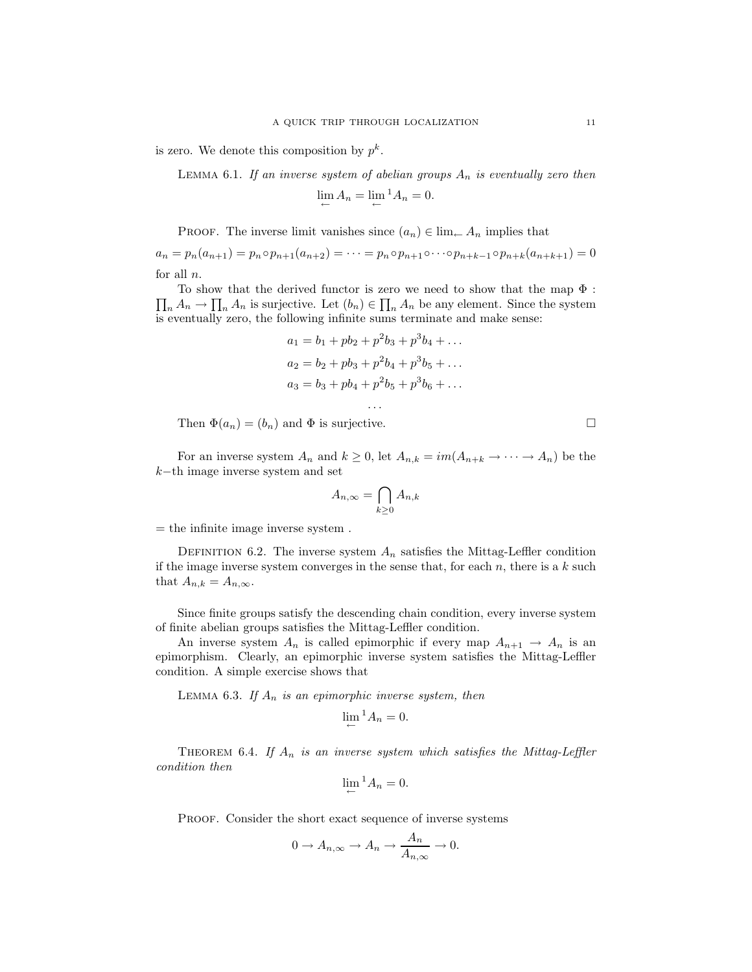is zero. We denote this composition by  $p^k$ .

LEMMA 6.1. If an inverse system of abelian groups  $A_n$  is eventually zero then

$$
\lim_{\leftarrow} A_n = \lim_{\leftarrow} {}^1 A_n = 0.
$$

PROOF. The inverse limit vanishes since  $(a_n) \in \lim_{n \to \infty} A_n$  implies that

 $a_n = p_n(a_{n+1}) = p_n \circ p_{n+1}(a_{n+2}) = \cdots = p_n \circ p_{n+1} \circ \cdots \circ p_{n+k-1} \circ p_{n+k}(a_{n+k+1}) = 0$ for all  $n$ .

 $\prod_n A_n \to \prod_n A_n$  is surjective. Let  $(b_n) \in \prod_n A_n$  be any element. Since the system To show that the derived functor is zero we need to show that the map  $\Phi$  : is eventually zero, the following infinite sums terminate and make sense:

$$
a_1 = b_1 + pb_2 + p^2b_3 + p^3b_4 + \dots
$$
  
\n
$$
a_2 = b_2 + pb_3 + p^2b_4 + p^3b_5 + \dots
$$
  
\n
$$
a_3 = b_3 + pb_4 + p^2b_5 + p^3b_6 + \dots
$$

. . .

Then  $\Phi(a_n) = (b_n)$  and  $\Phi$  is surjective.

For an inverse system  $A_n$  and  $k \geq 0$ , let  $A_{n,k} = im(A_{n+k} \to \cdots \to A_n)$  be the k−th image inverse system and set

$$
A_{n,\infty} = \bigcap_{k \ge 0} A_{n,k}
$$

 $=$  the infinite image inverse system.

DEFINITION 6.2. The inverse system  $A_n$  satisfies the Mittag-Leffler condition if the image inverse system converges in the sense that, for each  $n$ , there is a  $k$  such that  $A_{n,k} = A_{n,\infty}$ .

Since finite groups satisfy the descending chain condition, every inverse system of finite abelian groups satisfies the Mittag-Leffler condition.

An inverse system  $A_n$  is called epimorphic if every map  $A_{n+1} \to A_n$  is an epimorphism. Clearly, an epimorphic inverse system satisfies the Mittag-Leffler condition. A simple exercise shows that

LEMMA 6.3. If  $A_n$  is an epimorphic inverse system, then

$$
\lim_{\leftarrow}{}^{1}A_{n}=0.
$$

THEOREM 6.4. If  $A_n$  is an inverse system which satisfies the Mittag-Leffler condition then

$$
\lim_{\leftarrow}{}^{1}A_{n}=0.
$$

PROOF. Consider the short exact sequence of inverse systems

$$
0 \to A_{n,\infty} \to A_n \to \frac{A_n}{A_{n,\infty}} \to 0.
$$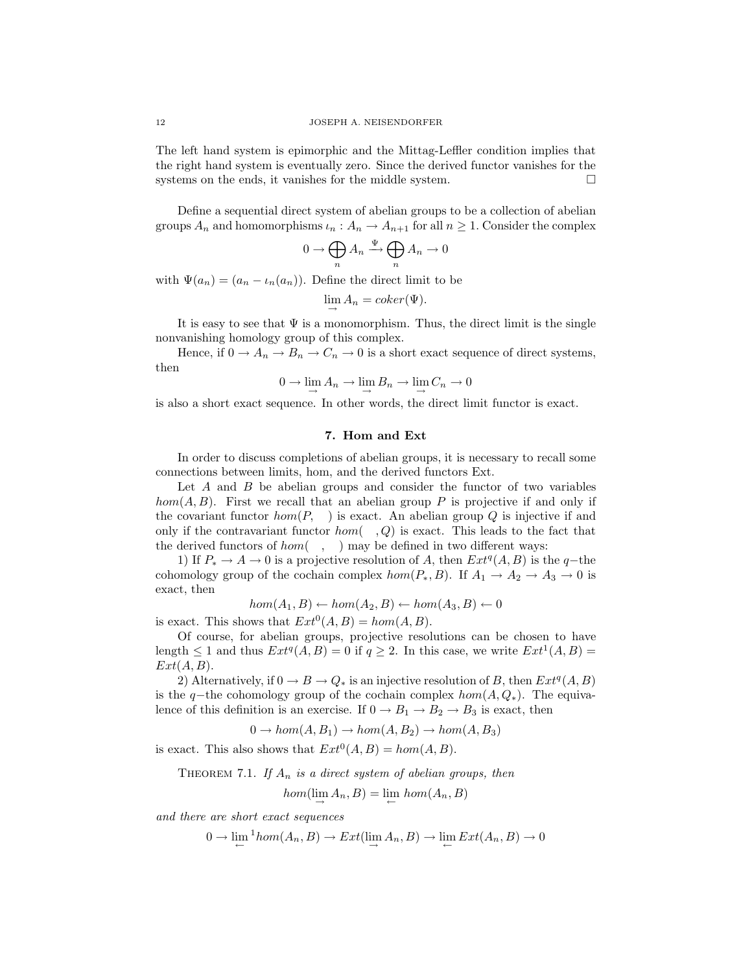The left hand system is epimorphic and the Mittag-Leffler condition implies that the right hand system is eventually zero. Since the derived functor vanishes for the systems on the ends, it vanishes for the middle system.  $\Box$ 

Define a sequential direct system of abelian groups to be a collection of abelian groups  $A_n$  and homomorphisms  $\iota_n : A_n \to A_{n+1}$  for all  $n \geq 1$ . Consider the complex

$$
0 \to \bigoplus_n A_n \xrightarrow{\Psi} \bigoplus_n A_n \to 0
$$

with  $\Psi(a_n) = (a_n - \iota_n(a_n))$ . Define the direct limit to be

$$
\lim_{n \to \infty} A_n = coker(\Psi).
$$

It is easy to see that  $\Psi$  is a monomorphism. Thus, the direct limit is the single nonvanishing homology group of this complex.

Hence, if  $0 \to A_n \to B_n \to C_n \to 0$  is a short exact sequence of direct systems, then

$$
0 \to \lim_{\longrightarrow} A_n \to \lim_{\longrightarrow} B_n \to \lim_{\longrightarrow} C_n \to 0
$$

is also a short exact sequence. In other words, the direct limit functor is exact.

### 7. Hom and Ext

In order to discuss completions of abelian groups, it is necessary to recall some connections between limits, hom, and the derived functors Ext.

Let  $A$  and  $B$  be abelian groups and consider the functor of two variables hom(A, B). First we recall that an abelian group P is projective if and only if the covariant functor  $hom(P, \cdot)$  is exact. An abelian group Q is injective if and only if the contravariant functor  $hom( , Q)$  is exact. This leads to the fact that the derived functors of  $hom( , )$  may be defined in two different ways:

1) If  $P_* \to A \to 0$  is a projective resolution of A, then  $Ext^q(A, B)$  is the q-the cohomology group of the cochain complex  $hom(P_*, B)$ . If  $A_1 \rightarrow A_2 \rightarrow A_3 \rightarrow 0$  is exact, then

$$
hom(A_1, B) \leftarrow hom(A_2, B) \leftarrow hom(A_3, B) \leftarrow 0
$$

is exact. This shows that  $Ext^0(A, B) = hom(A, B)$ .

Of course, for abelian groups, projective resolutions can be chosen to have length  $\leq 1$  and thus  $Ext^q(A, B) = 0$  if  $q \geq 2$ . In this case, we write  $Ext^1(A, B) =$  $Ext(A, B)$ .

2) Alternatively, if  $0 \to B \to Q_*$  is an injective resolution of B, then  $Ext^q(A, B)$ is the q−the cohomology group of the cochain complex  $hom(A, Q_*)$ . The equivalence of this definition is an exercise. If  $0 \to B_1 \to B_2 \to B_3$  is exact, then

 $0 \rightarrow hom(A, B_1) \rightarrow hom(A, B_2) \rightarrow hom(A, B_3)$ 

is exact. This also shows that  $Ext^0(A, B) = hom(A, B)$ .

THEOREM 7.1. If  $A_n$  is a direct system of abelian groups, then

$$
hom(\lim_{\longrightarrow} A_n, B) = \lim_{\longleftarrow} hom(A_n, B)
$$

and there are short exact sequences

 $0 \to \lim_{\leftarrow} {}^1hom(A_n, B) \to Ext(\lim_{\rightarrow} A_n, B) \to \lim_{\leftarrow} Ext(A_n, B) \to 0$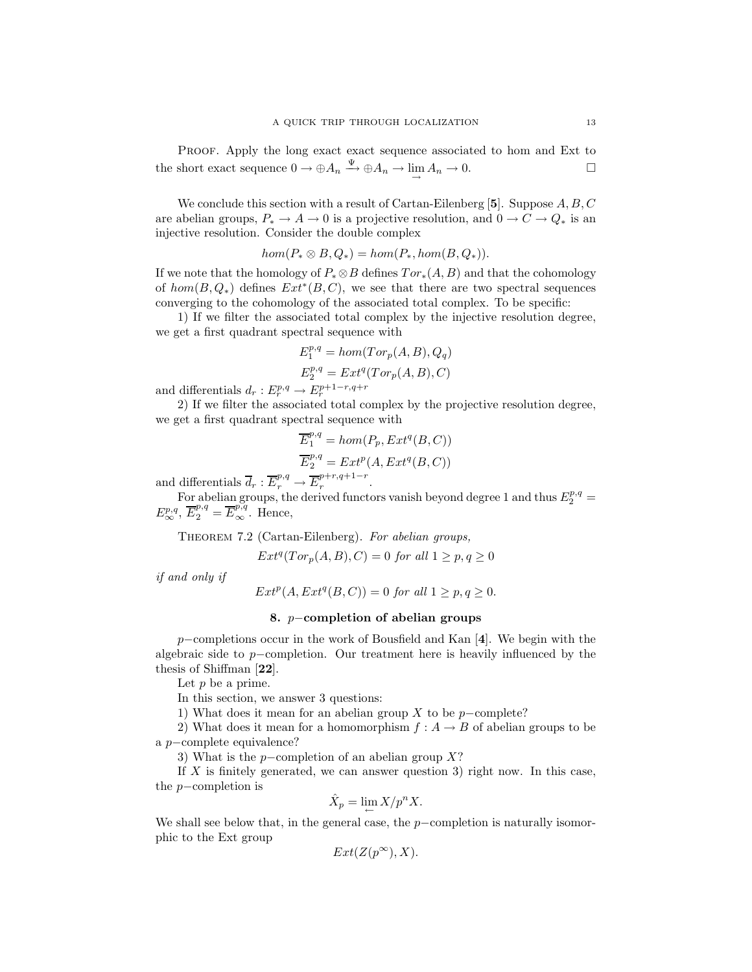PROOF. Apply the long exact exact sequence associated to hom and Ext to the short exact sequence  $0 \to \oplus A_n \xrightarrow{\Psi} \oplus A_n \to \lim_{\longrightarrow} A_n \to 0.$ 

We conclude this section with a result of Cartan-Eilenberg [5]. Suppose  $A, B, C$ are abelian groups,  $P_* \to A \to 0$  is a projective resolution, and  $0 \to C \to Q_*$  is an injective resolution. Consider the double complex

$$
hom(P_* \otimes B, Q_*) = hom(P_*, hom(B, Q_*)).
$$

If we note that the homology of  $P_* \otimes B$  defines  $Tor_*(A, B)$  and that the cohomology of  $hom(B, Q_*)$  defines  $Ext^*(B, C)$ , we see that there are two spectral sequences converging to the cohomology of the associated total complex. To be specific:

1) If we filter the associated total complex by the injective resolution degree, we get a first quadrant spectral sequence with

$$
E_1^{p,q} = hom(Tor_p(A, B), Q_q)
$$
  

$$
E_2^{p,q} = Ext^q(Tor_p(A, B), C)
$$

and differentials  $d_r: E_r^{p,q} \to E_r^{p+1-r,q+r}$ 

2) If we filter the associated total complex by the projective resolution degree, we get a first quadrant spectral sequence with

$$
\overline{E}_1^{p,q} = hom(P_p, Ext^q(B, C))
$$
  

$$
\overline{E}_2^{p,q} = Ext^p(A, Ext^q(B, C))
$$

and differentials  $\overline{d}_r : \overline{E}_r^{p,q} \to \overline{E}_r^{p+r,q+1-r}$  $r$ <sup> $r$ </sup>

For abelian groups, the derived functors vanish beyond degree 1 and thus  $E_2^{p,q}$  =  $E^{p,q}_{\infty}, \overline{E}^{p,q}_{2} = \overline{E}^{p,q}_{\infty}.$  Hence,

THEOREM 7.2 (Cartan-Eilenberg). For abelian groups,

$$
Ext^q(Tor_p(A, B), C) = 0
$$
 for all  $1 \ge p, q \ge 0$ 

if and only if

$$
Ext^p(A, Ext^q(B, C)) = 0 \text{ for all } 1 \ge p, q \ge 0.
$$

### 8. p−completion of abelian groups

p−completions occur in the work of Bousfield and Kan [4]. We begin with the algebraic side to p−completion. Our treatment here is heavily influenced by the thesis of Shiffman [22].

Let  $p$  be a prime.

In this section, we answer 3 questions:

1) What does it mean for an abelian group X to be  $p$ −complete?

2) What does it mean for a homomorphism  $f : A \to B$  of abelian groups to be a p−complete equivalence?

3) What is the p−completion of an abelian group  $X$ ?

If  $X$  is finitely generated, we can answer question 3) right now. In this case, the p−completion is

$$
\hat{X}_p = \lim_{\leftarrow} X/p^n X.
$$

We shall see below that, in the general case, the  $p$ −completion is naturally isomorphic to the Ext group

$$
Ext(Z(p^{\infty}), X).
$$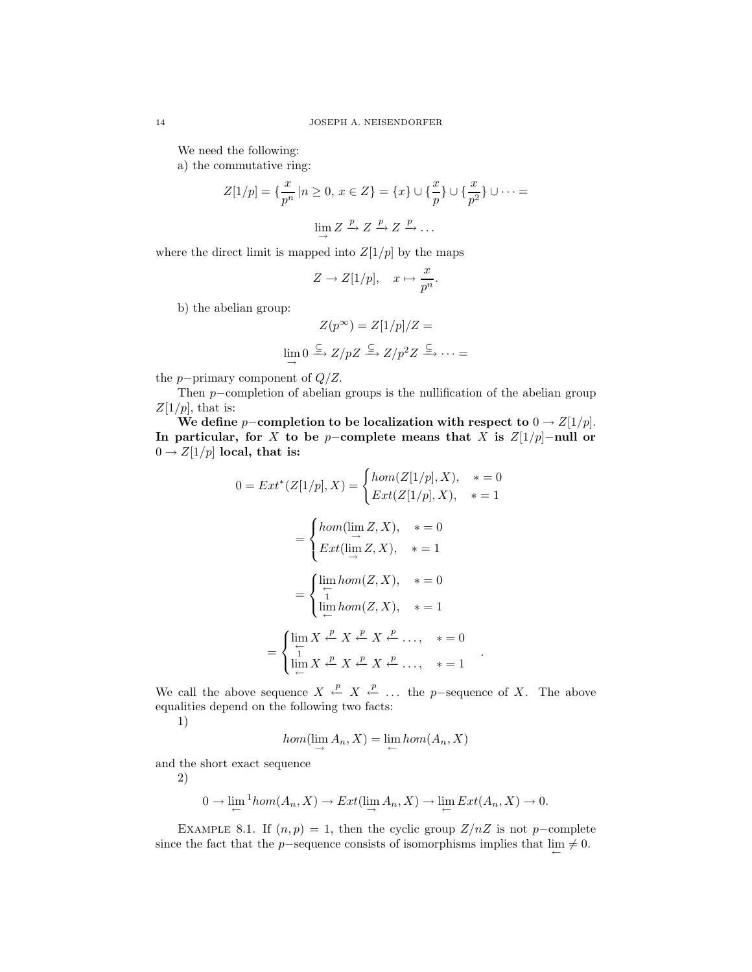We need the following:

a) the commutative ring:

$$
Z[1/p] = \left\{ \frac{x}{p^n} \mid n \ge 0, x \in Z \right\} = \left\{ x \right\} \cup \left\{ \frac{x}{p} \right\} \cup \left\{ \frac{x}{p^2} \right\} \cup \dots =
$$

$$
\lim_{\longrightarrow} Z \xrightarrow{p} Z \xrightarrow{p} Z \xrightarrow{p} \dots
$$

where the direct limit is mapped into  $Z[1/p]$  by the maps

$$
Z \to Z[1/p], \quad x \mapsto \frac{x}{p^n}.
$$

b) the abelian group:

$$
Z(p^{\infty}) = Z[1/p]/Z =
$$
  

$$
\lim_{\longrightarrow} 0 \xrightarrow{\subseteq} Z/pZ \xrightarrow{\subseteq} Z/p^2Z \xrightarrow{\subseteq} \cdots =
$$

the *p*−primary component of  $Q/Z$ .

Then p−completion of abelian groups is the nullification of the abelian group  $Z[1/p]$ , that is:

We define p-completion to be localization with respect to  $0 \rightarrow Z[1/p]$ . In particular, for X to be p-complete means that X is  $Z[1/p]-\text{null}$  or  $0 \rightarrow Z[1/p]$  local, that is:

$$
0 = Ext^{*}(Z[1/p], X) = \begin{cases} hom(Z[1/p], X), & * = 0 \\ Ext(Z[1/p], X), & * = 1 \end{cases}
$$

$$
= \begin{cases} hom(\lim_{\longrightarrow} Z, X), & * = 0 \\ Ext(\lim_{\longrightarrow} Z, X), & * = 1 \end{cases}
$$

$$
= \begin{cases} \lim_{\longrightarrow} hom(Z, X), & * = 0 \\ \lim_{\longrightarrow} hom(Z, X), & * = 1 \\ \lim_{\longrightarrow} hom(Z, X), & * = 1 \end{cases}
$$

$$
= \begin{cases} \lim_{\longrightarrow} X \stackrel{p}{\leftarrow} X \stackrel{p}{\leftarrow} X \stackrel{p}{\leftarrow} \dots, & * = 0 \\ \lim_{\longrightarrow} X \stackrel{p}{\leftarrow} X \stackrel{p}{\leftarrow} X \stackrel{p}{\leftarrow} \dots, & * = 1 \end{cases}.
$$

We call the above sequence  $X \stackrel{p}{\leftarrow} X \stackrel{p}{\leftarrow} \ldots$  the p-sequence of X. The above equalities depend on the following two facts:

1)

$$
hom(\lim_{\longrightarrow} A_n, X) = \lim_{\longleftarrow} hom(A_n, X)
$$

and the short exact sequence

2)

$$
0 \to \lim_{\leftarrow} {}^1 \text{hom}(A_n, X) \to \text{Ext}(\lim_{\rightarrow} A_n, X) \to \lim_{\leftarrow} \text{Ext}(A_n, X) \to 0.
$$

EXAMPLE 8.1. If  $(n, p) = 1$ , then the cyclic group  $Z/nZ$  is not p-complete since the fact that the p-sequence consists of isomorphisms implies that  $\lim_{\leftarrow} \neq 0$ .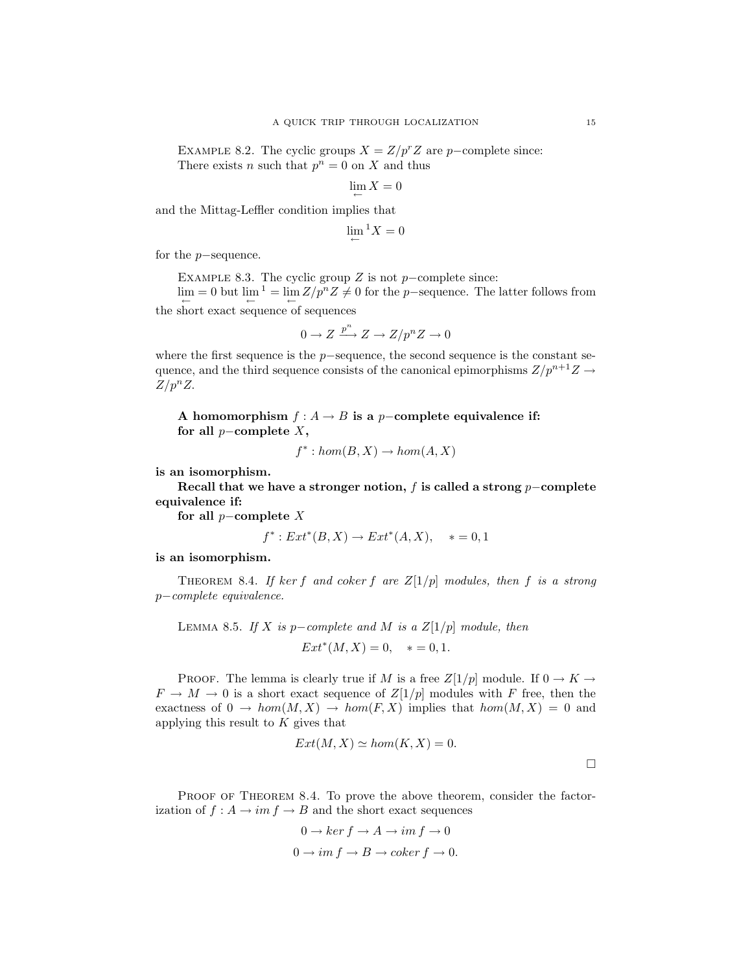EXAMPLE 8.2. The cyclic groups  $X = Z/p^rZ$  are p−complete since: There exists *n* such that  $p^n = 0$  on *X* and thus

$$
\lim_{\leftarrow} X = 0
$$

and the Mittag-Leffler condition implies that

$$
\lim_{\leftarrow} {}^1 X = 0
$$

for the p−sequence.

EXAMPLE 8.3. The cyclic group  $Z$  is not  $p$ -complete since:

 $\lim_{\leftarrow} = 0$  but  $\lim_{\leftarrow}^{-1} = \lim_{\leftarrow} Z/p^n Z \neq 0$  for the p-sequence. The latter follows from the short exact sequence of sequences

$$
0 \to Z \xrightarrow{p^n} Z \to Z/p^n Z \to 0
$$

where the first sequence is the p−sequence, the second sequence is the constant sequence, and the third sequence consists of the canonical epimorphisms  $Z/p^{n+1}Z \rightarrow$  $Z/p^nZ$ .

A homomorphism  $f : A \to B$  is a p-complete equivalence if: for all  $p$ -complete  $X$ ,

$$
f^* : hom(B, X) \to hom(A, X)
$$

is an isomorphism.

Recall that we have a stronger notion, f is called a strong  $p$ –complete equivalence if:

for all  $p$ -complete  $X$ 

$$
f^*: Ext^*(B, X) \to Ext^*(A, X), * = 0, 1
$$

is an isomorphism.

THEOREM 8.4. If ker f and coker f are  $Z[1/p]$  modules, then f is a strong p−complete equivalence.

LEMMA 8.5. If X is p-complete and M is a  $Z[1/p]$  module, then  $Ext^*(M, X) = 0, \quad * = 0, 1.$ 

PROOF. The lemma is clearly true if M is a free  $Z[1/p]$  module. If  $0 \to K \to$  $F \to M \to 0$  is a short exact sequence of  $Z[1/p]$  modules with F free, then the exactness of  $0 \to hom(M, X) \to hom(F, X)$  implies that  $hom(M, X) = 0$  and applying this result to  $K$  gives that

$$
Ext(M, X) \simeq hom(K, X) = 0.
$$

PROOF OF THEOREM 8.4. To prove the above theorem, consider the factorization of  $f : A \to im f \to B$  and the short exact sequences

$$
0 \to \ker f \to A \to im \, f \to 0
$$
  

$$
0 \to im \, f \to B \to coker \, f \to 0.
$$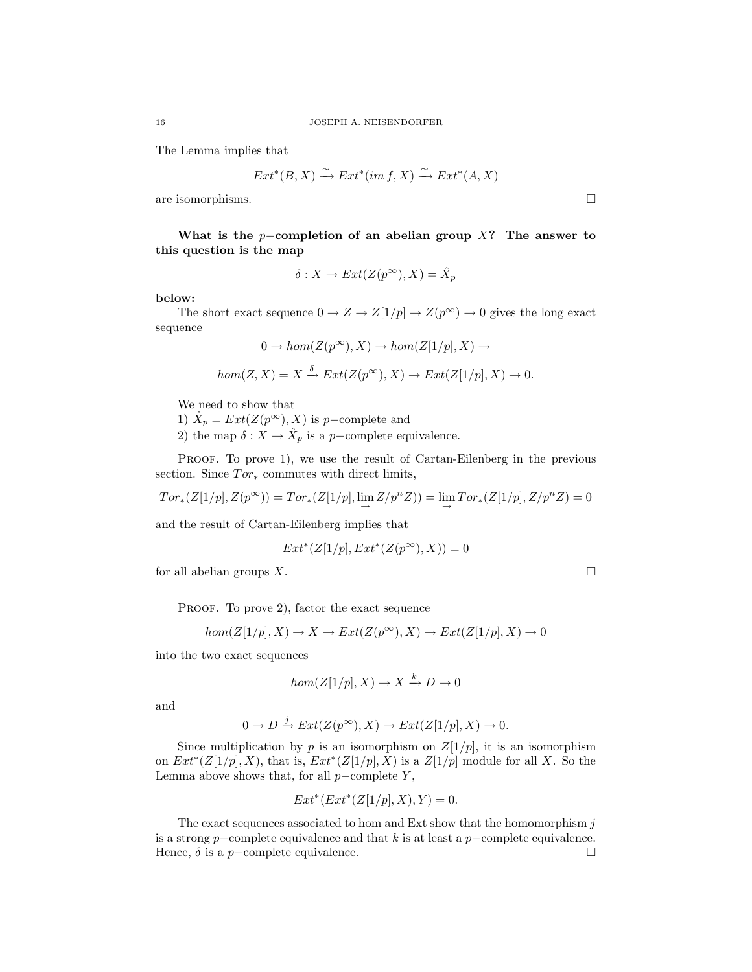The Lemma implies that

$$
Ext^*(B, X) \xrightarrow{\simeq} Ext^*(im f, X) \xrightarrow{\simeq} Ext^*(A, X)
$$

are isomorphisms.  $\Box$ 

What is the p−completion of an abelian group  $X$ ? The answer to this question is the map

$$
\delta: X \to Ext(Z(p^{\infty}), X) = \hat{X}_p
$$

below:

The short exact sequence  $0 \to Z \to Z[1/p] \to Z(p^{\infty}) \to 0$  gives the long exact sequence

$$
0 \to hom(Z(p^{\infty}), X) \to hom(Z[1/p], X) \to
$$

$$
hom(Z, X) = X \xrightarrow{\delta} Ext(Z(p^{\infty}), X) \to Ext(Z[1/p], X) \to 0.
$$

We need to show that

1)  $\hat{X}_p = Ext(Z(p^\infty), X)$  is p-complete and

2) the map  $\delta: X \to \hat{X}_p$  is a p-complete equivalence.

PROOF. To prove 1), we use the result of Cartan-Eilenberg in the previous section. Since  $Tor_*$  commutes with direct limits,

 $Tor_*(Z[1/p], Z(p^{\infty})) = Tor_*(Z[1/p], \lim_{\longrightarrow} Z/p^n Z)) = \lim_{\longrightarrow} Tor_*(Z[1/p], Z/p^n Z) = 0$ 

and the result of Cartan-Eilenberg implies that

$$
Ext^*(Z[1/p], Ext^*(Z(p^\infty), X)) = 0
$$

for all abelian groups  $X$ .

PROOF. To prove 2), factor the exact sequence

$$
hom(Z[1/p],X)\to X\to Ext(Z(p^\infty),X)\to Ext(Z[1/p],X)\to 0
$$

into the two exact sequences

$$
hom(Z[1/p], X) \to X \xrightarrow{k} D \to 0
$$

and

$$
0 \to D \xrightarrow{j} Ext(Z(p^{\infty}), X) \to Ext(Z[1/p], X) \to 0.
$$

Since multiplication by p is an isomorphism on  $Z[1/p]$ , it is an isomorphism on  $Ext^*(Z[1/p], X)$ , that is,  $Ext^*(Z[1/p], X)$  is a  $Z[1/p]$  module for all X. So the Lemma above shows that, for all  $p$ –complete Y,

$$
Ext^*(Ext^*(Z[1/p], X), Y) = 0.
$$

The exact sequences associated to hom and Ext show that the homomorphism  $j$ is a strong p−complete equivalence and that k is at least a p−complete equivalence. Hence,  $\delta$  is a p−complete equivalence.  $\Box$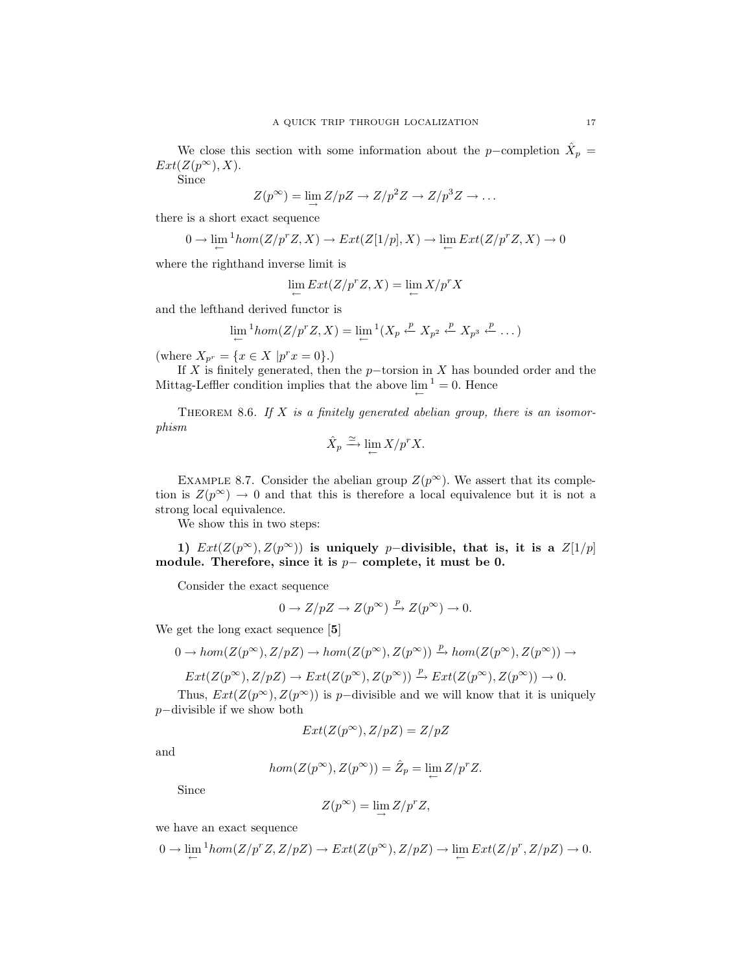We close this section with some information about the p-completion  $\hat{X}_p =$  $Ext(Z(p^{\infty}), X).$ 

Since

$$
Z(p^{\infty}) = \lim_{\rightarrow} Z/pZ \rightarrow Z/p^2Z \rightarrow Z/p^3Z \rightarrow \dots
$$

there is a short exact sequence

$$
0 \to \lim_{\leftarrow} {}^1\!hom(Z/p^r Z, X) \to Ext(Z[1/p], X) \to \lim_{\leftarrow} Ext(Z/p^r Z, X) \to 0
$$

where the righthand inverse limit is

$$
\lim_{\leftarrow} Ext(Z/p^r Z, X) = \lim_{\leftarrow} X/p^r X
$$

and the lefthand derived functor is

$$
\lim_{\leftarrow} \frac{1}{2}hom(Z/p^r Z, X) = \lim_{\leftarrow} \frac{1}{2}(X_p \stackrel{p}{\leftarrow} X_{p^2} \stackrel{p}{\leftarrow} X_{p^3} \stackrel{p}{\leftarrow} \dots)
$$

(where  $X_{p^r} = \{x \in X \mid p^r x = 0\}.$ )

If X is finitely generated, then the  $p$ −torsion in X has bounded order and the Mittag-Leffler condition implies that the above  $\lim_{\leftarrow}$  <sup>1</sup> = 0. Hence

THEOREM 8.6. If  $X$  is a finitely generated abelian group, there is an isomorphism

$$
\hat{X}_p \xrightarrow{\simeq} \lim_{\leftarrow} X/p^r X.
$$

EXAMPLE 8.7. Consider the abelian group  $Z(p^{\infty})$ . We assert that its completion is  $Z(p^{\infty}) \to 0$  and that this is therefore a local equivalence but it is not a strong local equivalence.

We show this in two steps:

1)  $Ext(Z(p^{\infty}), Z(p^{\infty}))$  is uniquely p-divisible, that is, it is a  $Z[1/p]$ module. Therefore, since it is  $p-$  complete, it must be 0.

Consider the exact sequence

$$
0 \to Z/pZ \to Z(p^{\infty}) \xrightarrow{p} Z(p^{\infty}) \to 0.
$$

We get the long exact sequence [5]

$$
0 \to hom(Z(p^{\infty}), Z/pZ) \to hom(Z(p^{\infty}), Z(p^{\infty})) \xrightarrow{p} hom(Z(p^{\infty}), Z(p^{\infty})) \to
$$
  

$$
Ext(Z(p^{\infty}), Z/pZ) \to Ext(Z(p^{\infty}), Z(p^{\infty})) \xrightarrow{p} Ext(Z(p^{\infty}), Z(p^{\infty})) \to 0.
$$

Thus,  $Ext(Z(p^{\infty}), Z(p^{\infty}))$  is p−divisible and we will know that it is uniquely

p−divisible if we show both

$$
Ext(Z(p^{\infty}), Z/pZ) = Z/pZ
$$

and

$$
hom(Z(p^{\infty}), Z(p^{\infty})) = \hat{Z}_p = \lim_{\leftarrow} Z/p^r Z.
$$

Since

$$
Z(p^\infty)=\lim_{\rightarrow}Z/p^rZ,
$$

we have an exact sequence

$$
0\rightarrow \lim\limits_\leftarrow{\rm Hom}(Z/p^rZ,Z/pZ)\rightarrow Ext(Z(p^\infty),Z/pZ)\rightarrow \lim\limits_\leftarrow{Ext(Z/p^r,Z/pZ)}\rightarrow 0.
$$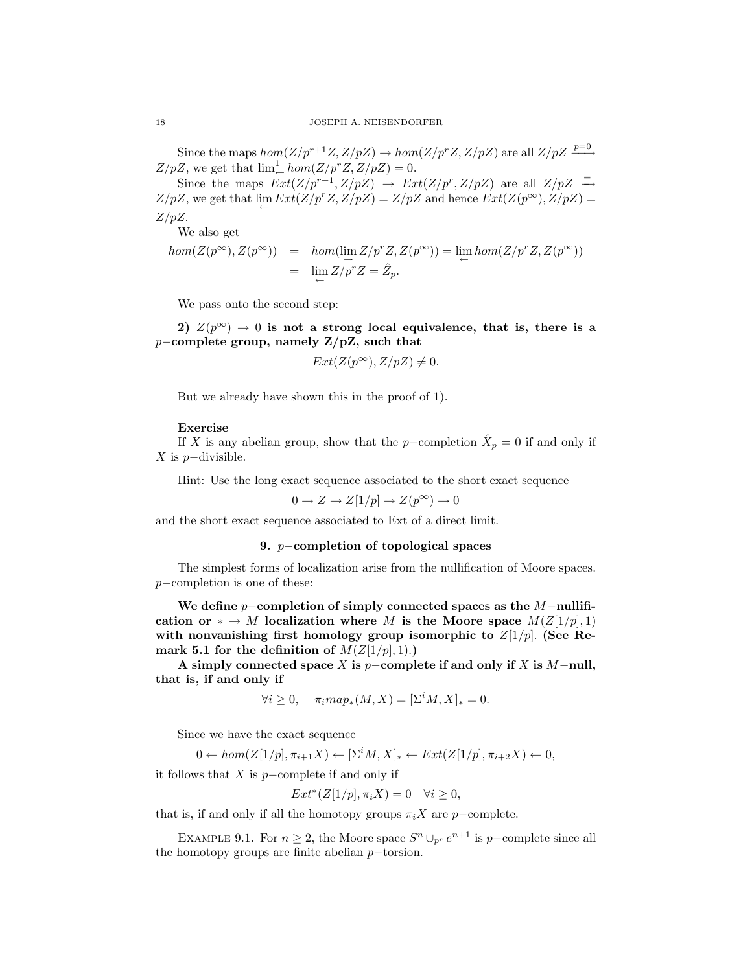Since the maps  $hom(Z/p^{r+1}Z, Z/pZ) \to hom(Z/p^rZ, Z/pZ)$  are all  $Z/pZ \xrightarrow{p=0}$  $Z/pZ$ , we get that  $\lim_{\leftarrow}^1 hom(Z/p^r Z, Z/pZ) = 0$ .

Since the maps  $Ext(Z/p^{r+1}, Z/pZ) \rightarrow Ext(Z/p^{r}, Z/pZ)$  are all  $Z/pZ \stackrel{=}{\rightarrow}$  $Z/pZ$ , we get that  $\lim_{\leftarrow} Ext(Z/p^rZ, Z/pZ) = Z/pZ$  and hence  $Ext(Z(p^{\infty}), Z/pZ) =$  $Z/pZ$ .

We also get

$$
hom(Z(p^{\infty}), Z(p^{\infty})) = hom(\lim_{\substack{\longrightarrow \\ \longleftarrow}} Z/p^r Z, Z(p^{\infty})) = \lim_{\substack{\longleftarrow \\ \longleftarrow}} hom(Z/p^r Z, Z(p^{\infty}))
$$
  
= 
$$
\lim_{\substack{\longleftarrow \\ \longleftarrow}} Z/p^r Z = \hat{Z}_p.
$$

We pass onto the second step:

2)  $Z(p^{\infty}) \to 0$  is not a strong local equivalence, that is, there is a p−complete group, namely Z/pZ, such that

$$
Ext(Z(p^\infty),Z/pZ)\neq 0.
$$

But we already have shown this in the proof of 1).

## Exercise

If X is any abelian group, show that the p-completion  $\hat{X}_p = 0$  if and only if  $X$  is  $p$ −divisible.

Hint: Use the long exact sequence associated to the short exact sequence

$$
0 \to Z \to Z[1/p] \to Z(p^{\infty}) \to 0
$$

and the short exact sequence associated to Ext of a direct limit.

## 9. *p*−completion of topological spaces

The simplest forms of localization arise from the nullification of Moore spaces. p−completion is one of these:

We define  $p$ -completion of simply connected spaces as the  $M$ -nullification or  $* \to M$  localization where M is the Moore space  $M(Z[1/p], 1)$ with nonvanishing first homology group isomorphic to  $Z[1/p]$ . (See Remark 5.1 for the definition of  $M(Z|1/p|, 1)$ .)

A simply connected space X is  $p$ –complete if and only if X is M−null, that is, if and only if

$$
\forall i \ge 0, \quad \pi_i map_*(M, X) = [\Sigma^i M, X]_* = 0.
$$

Since we have the exact sequence

$$
0 \leftarrow hom(Z[1/p], \pi_{i+1}X) \leftarrow [\Sigma^i M, X]_* \leftarrow Ext(Z[1/p], \pi_{i+2}X) \leftarrow 0,
$$

it follows that  $X$  is  $p$ −complete if and only if

$$
Ext^*(Z[1/p], \pi_i X) = 0 \quad \forall i \ge 0,
$$

that is, if and only if all the homotopy groups  $\pi_i X$  are p−complete.

EXAMPLE 9.1. For  $n \geq 2$ , the Moore space  $S^n \cup_{p^r} e^{n+1}$  is p-complete since all the homotopy groups are finite abelian p−torsion.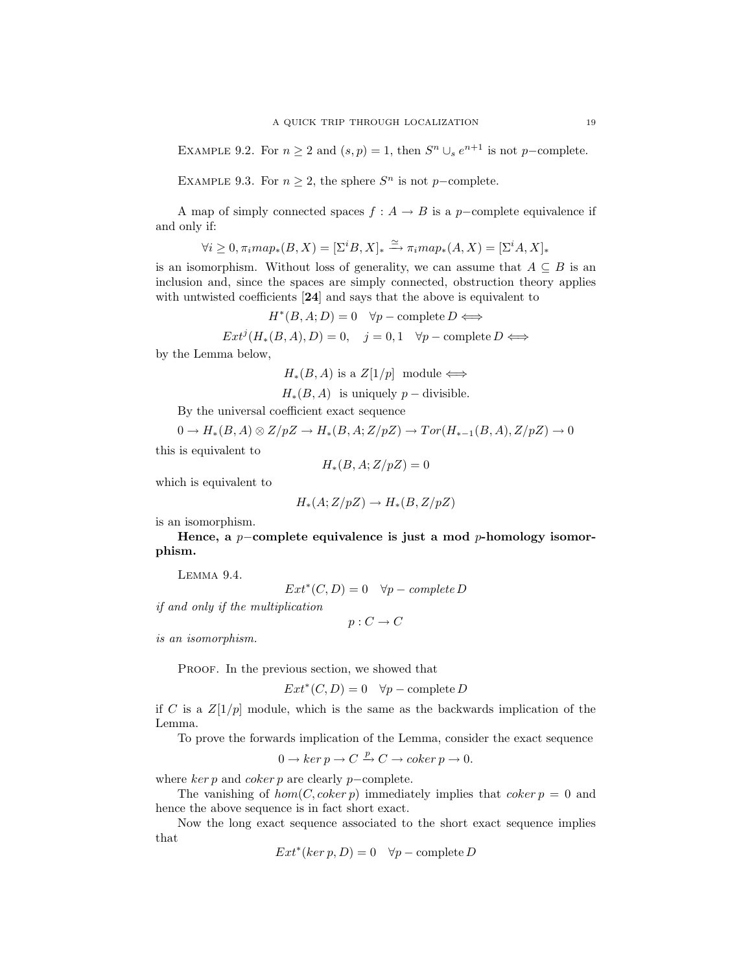EXAMPLE 9.2. For  $n \ge 2$  and  $(s, p) = 1$ , then  $S<sup>n</sup> \cup_s e^{n+1}$  is not p-complete.

EXAMPLE 9.3. For  $n \geq 2$ , the sphere  $S<sup>n</sup>$  is not p-complete.

A map of simply connected spaces  $f : A \to B$  is a p-complete equivalence if and only if:

$$
\forall i \geq 0, \pi_i map_*(B, X) = [\Sigma^i B, X]_* \xrightarrow{\simeq} \pi_i map_*(A, X) = [\Sigma^i A, X]_*
$$

is an isomorphism. Without loss of generality, we can assume that  $A \subseteq B$  is an inclusion and, since the spaces are simply connected, obstruction theory applies with untwisted coefficients [24] and says that the above is equivalent to

$$
H^*(B, A; D) = 0 \quad \forall p-\text{complete } D \Longleftrightarrow
$$

 $Ext^j(H_*(B, A), D) = 0, \quad j = 0, 1 \quad \forall p-\text{complete } D \Longleftrightarrow$ 

by the Lemma below,

 $H_*(B, A)$  is a  $Z[1/p]$  module  $\Longleftrightarrow$ 

 $H_*(B, A)$  is uniquely  $p -$  divisible.

By the universal coefficient exact sequence

 $0 \to H_*(B, A) \otimes Z/pZ \to H_*(B, A; Z/pZ) \to Tor(H_{*-1}(B, A), Z/pZ) \to 0$ 

this is equivalent to

$$
H_*(B, A; Z/pZ) = 0
$$

which is equivalent to

$$
H_*(A;Z/pZ)\to H_*(B,Z/pZ)
$$

is an isomorphism.

Hence, a p−complete equivalence is just a mod p-homology isomorphism.

Lemma 9.4.

 $Ext^*(C, D) = 0 \quad \forall p - complete D$ 

if and only if the multiplication

$$
p:C\to C
$$

is an isomorphism.

PROOF. In the previous section, we showed that

 $Ext^*(C, D) = 0 \quad \forall p-\text{complete } D$ 

if C is a  $Z[1/p]$  module, which is the same as the backwards implication of the Lemma.

To prove the forwards implication of the Lemma, consider the exact sequence

$$
0 \to \ker p \to C \xrightarrow{p} C \to \operatorname{coker} p \to 0.
$$

where  $\ker p$  and  $\operatorname{coker} p$  are clearly p−complete.

The vanishing of  $hom(C, \text{coker } p)$  immediately implies that  $\text{coker } p = 0$  and hence the above sequence is in fact short exact.

Now the long exact sequence associated to the short exact sequence implies that

$$
Ext^*(ker\ p, D) = 0 \quad \forall p-\text{complete } D
$$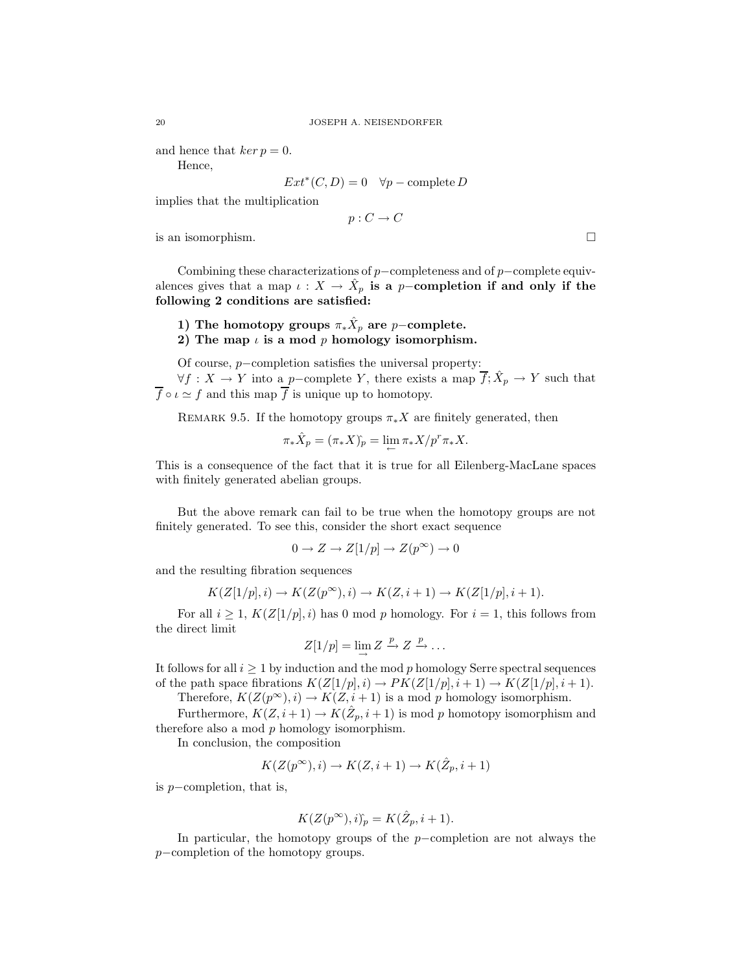and hence that  $ker p = 0$ .

Hence,

$$
Ext^*(C, D) = 0 \quad \forall p-\text{complete } D
$$

implies that the multiplication

 $p: C \to C$ 

is an isomorphism.

Combining these characterizations of  $p$ −completeness and of  $p$ −complete equivalences gives that a map  $\iota: X \to \hat{X}_p$  is a p-completion if and only if the following 2 conditions are satisfied:

1) The homotopy groups  $\pi_*\hat{X}_p$  are  $p-$ complete.

2) The map  $\iota$  is a mod p homology isomorphism.

Of course, p−completion satisfies the universal property:

 $\forall f: X \to Y$  into a p-complete Y, there exists a map  $\overline{f}$ ;  $\hat{X}_p \to Y$  such that  $\overline{f} \circ \iota \simeq f$  and this map  $\overline{f}$  is unique up to homotopy.

REMARK 9.5. If the homotopy groups  $\pi_* X$  are finitely generated, then

$$
\pi_* \hat{X}_p = (\pi_* X)_p = \lim_{\leftarrow} \pi_* X/p^r \pi_* X.
$$

This is a consequence of the fact that it is true for all Eilenberg-MacLane spaces with finitely generated abelian groups.

But the above remark can fail to be true when the homotopy groups are not finitely generated. To see this, consider the short exact sequence

$$
0 \to Z \to Z[1/p] \to Z(p^{\infty}) \to 0
$$

and the resulting fibration sequences

$$
K(Z[1/p],i) \rightarrow K(Z(p^\infty),i) \rightarrow K(Z,i+1) \rightarrow K(Z[1/p],i+1).
$$

For all  $i \geq 1$ ,  $K(Z[1/p], i)$  has 0 mod p homology. For  $i = 1$ , this follows from the direct limit

$$
Z[1/p] = \lim_{\longrightarrow} Z \xrightarrow{p} Z \xrightarrow{p} \dots
$$

It follows for all  $i \geq 1$  by induction and the mod p homology Serre spectral sequences of the path space fibrations  $K(Z[1/p], i) \to PK(Z[1/p], i+1) \to K(Z[1/p], i+1)$ .

Therefore,  $K(Z(p^{\infty}), i) \to K(Z, i + 1)$  is a mod p homology isomorphism.

Furthermore,  $K(Z, i+1) \to K(\hat{Z}_p, i+1)$  is mod p homotopy isomorphism and therefore also a mod  $p$  homology isomorphism.

In conclusion, the composition

$$
K(Z(p^\infty),i)\to K(Z,i+1)\to K(\hat Z_p,i+1)
$$

is p−completion, that is,

$$
K(Z(p^{\infty}), i)_p = K(\hat{Z}_p, i+1).
$$

In particular, the homotopy groups of the p−completion are not always the p−completion of the homotopy groups.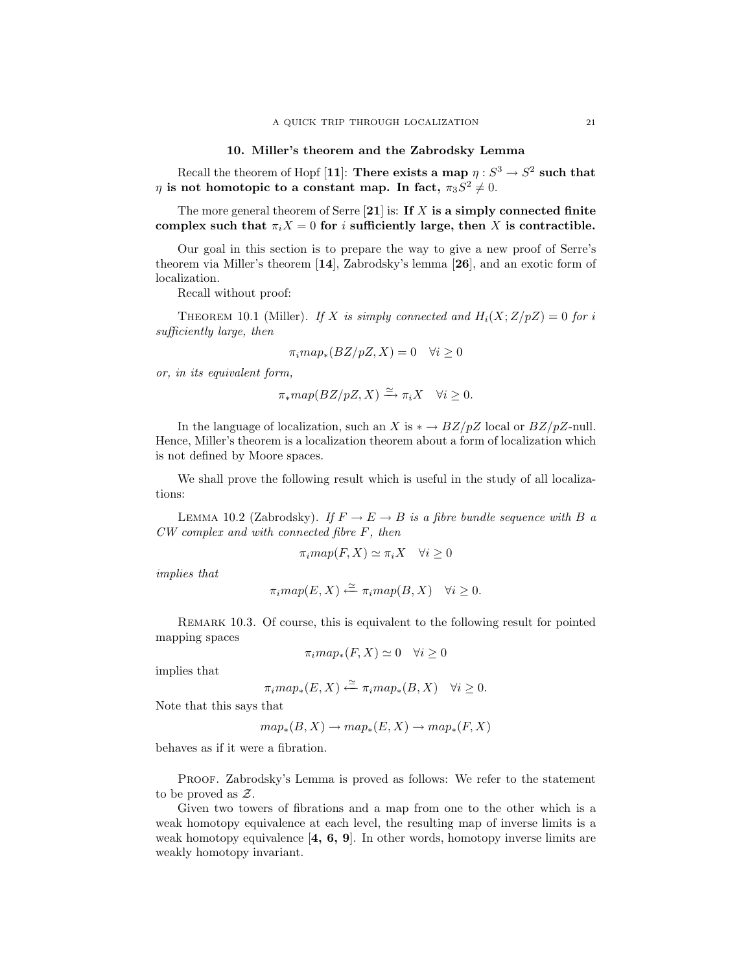## 10. Miller's theorem and the Zabrodsky Lemma

Recall the theorem of Hopf [11]: There exists a map  $\eta: S^3 \to S^2$  such that  $\eta$  is not homotopic to a constant map. In fact,  $\pi_3 S^2 \neq 0$ .

The more general theorem of Serre  $[21]$  is: If X is a simply connected finite complex such that  $\pi_i X = 0$  for i sufficiently large, then X is contractible.

Our goal in this section is to prepare the way to give a new proof of Serre's theorem via Miller's theorem [14], Zabrodsky's lemma [26], and an exotic form of localization.

Recall without proof:

THEOREM 10.1 (Miller). If X is simply connected and  $H_i(X;Z/pZ) = 0$  for i sufficiently large, then

$$
\pi_i map_*(BZ/pZ, X) = 0 \quad \forall i \ge 0
$$

or, in its equivalent form,

$$
\pi_*map(BZ/pZ,X)\xrightarrow{\simeq} \pi_iX \quad \forall i\geq 0.
$$

In the language of localization, such an X is  $* \rightarrow BZ/pZ$  local or  $BZ/pZ$ -null. Hence, Miller's theorem is a localization theorem about a form of localization which is not defined by Moore spaces.

We shall prove the following result which is useful in the study of all localizations:

LEMMA 10.2 (Zabrodsky). If  $F \to E \to B$  is a fibre bundle sequence with B a CW complex and with connected fibre F, then

$$
\pi_i map(F, X) \simeq \pi_i X \quad \forall i \ge 0
$$

implies that

$$
\pi_i map(E, X) \xleftarrow{\simeq} \pi_i map(B, X) \quad \forall i \geq 0.
$$

Remark 10.3. Of course, this is equivalent to the following result for pointed mapping spaces

$$
\pi_i map_*(F, X) \simeq 0 \quad \forall i \ge 0
$$

implies that

$$
\pi_i map_*(E, X) \xleftarrow{\simeq} \pi_i map_*(B, X) \quad \forall i \geq 0.
$$

Note that this says that

$$
map_*(B, X) \to map_*(E, X) \to map_*(F, X)
$$

behaves as if it were a fibration.

Proof. Zabrodsky's Lemma is proved as follows: We refer to the statement to be proved as Z.

Given two towers of fibrations and a map from one to the other which is a weak homotopy equivalence at each level, the resulting map of inverse limits is a weak homotopy equivalence  $\left[4, 6, 9\right]$ . In other words, homotopy inverse limits are weakly homotopy invariant.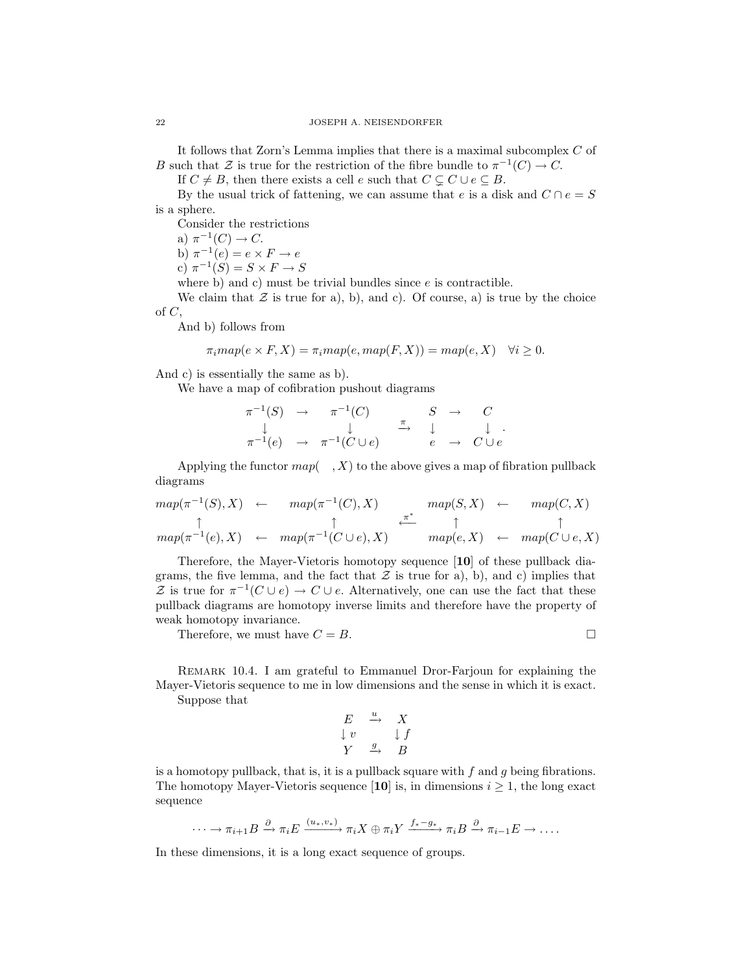It follows that Zorn's Lemma implies that there is a maximal subcomplex C of B such that Z is true for the restriction of the fibre bundle to  $\pi^{-1}(C) \to C$ .

If  $C \neq B$ , then there exists a cell e such that  $C \subseteq C \cup e \subseteq B$ .

By the usual trick of fattening, we can assume that e is a disk and  $C \cap e = S$ is a sphere.

Consider the restrictions

a)  $\pi^{-1}(C) \to C$ . b)  $\pi^{-1}(e) = e \times F \to e$ 

c)  $\pi^{-1}(S) = S \times F \to S$ 

where b) and c) must be trivial bundles since  $e$  is contractible.

We claim that  $\mathcal Z$  is true for a), b), and c). Of course, a) is true by the choice of C,

And b) follows from

$$
\pi_i map(e \times F, X) = \pi_i map(e, map(F, X)) = map(e, X) \quad \forall i \ge 0.
$$

And c) is essentially the same as b).

We have a map of cofibration pushout diagrams

$$
\begin{array}{cccc}\n\pi^{-1}(S) & \to & \pi^{-1}(C) & S & \to & C \\
\downarrow & & \downarrow & & \downarrow & & \downarrow \\
\pi^{-1}(e) & \to & \pi^{-1}(C \cup e) & & e & \to & C \cup e\n\end{array}
$$

Applying the functor  $map(-, X)$  to the above gives a map of fibration pullback diagrams

$$
map(\pi^{-1}(S), X) \leftarrow map(\pi^{-1}(C), X) \leftarrow map(S, X) \leftarrow map(C, X)
$$
  
\n
$$
\uparrow \qquad \uparrow \qquad \uparrow \qquad \uparrow \qquad \uparrow \qquad \uparrow \qquad \uparrow
$$
  
\n
$$
map(\pi^{-1}(e), X) \leftarrow map(\pi^{-1}(C \cup e), X) \leftarrow map(e, X) \leftarrow map(C \cup e, X)
$$

Therefore, the Mayer-Vietoris homotopy sequence [10] of these pullback diagrams, the five lemma, and the fact that  $\mathcal Z$  is true for a), b), and c) implies that Z is true for  $\pi^{-1}(C \cup e) \to C \cup e$ . Alternatively, one can use the fact that these pullback diagrams are homotopy inverse limits and therefore have the property of weak homotopy invariance.

Therefore, we must have  $C = B$ .

Remark 10.4. I am grateful to Emmanuel Dror-Farjoun for explaining the Mayer-Vietoris sequence to me in low dimensions and the sense in which it is exact. Suppose that

$$
\begin{array}{ccc}\nE & \xrightarrow{u} & X \\
\downarrow v & & \downarrow f \\
Y & \xrightarrow{g} & B\n\end{array}
$$

is a homotopy pullback, that is, it is a pullback square with  $f$  and  $g$  being fibrations. The homotopy Mayer-Vietoris sequence [10] is, in dimensions  $i \geq 1$ , the long exact sequence

$$
\cdots \longrightarrow \pi_{i+1}B \stackrel{\partial}{\longrightarrow} \pi_iE \xrightarrow{(u_*,v_*)} \pi_iX \oplus \pi_iY \xrightarrow{f_*-g_*} \pi_iB \stackrel{\partial}{\longrightarrow} \pi_{i-1}E \longrightarrow \ldots
$$

In these dimensions, it is a long exact sequence of groups.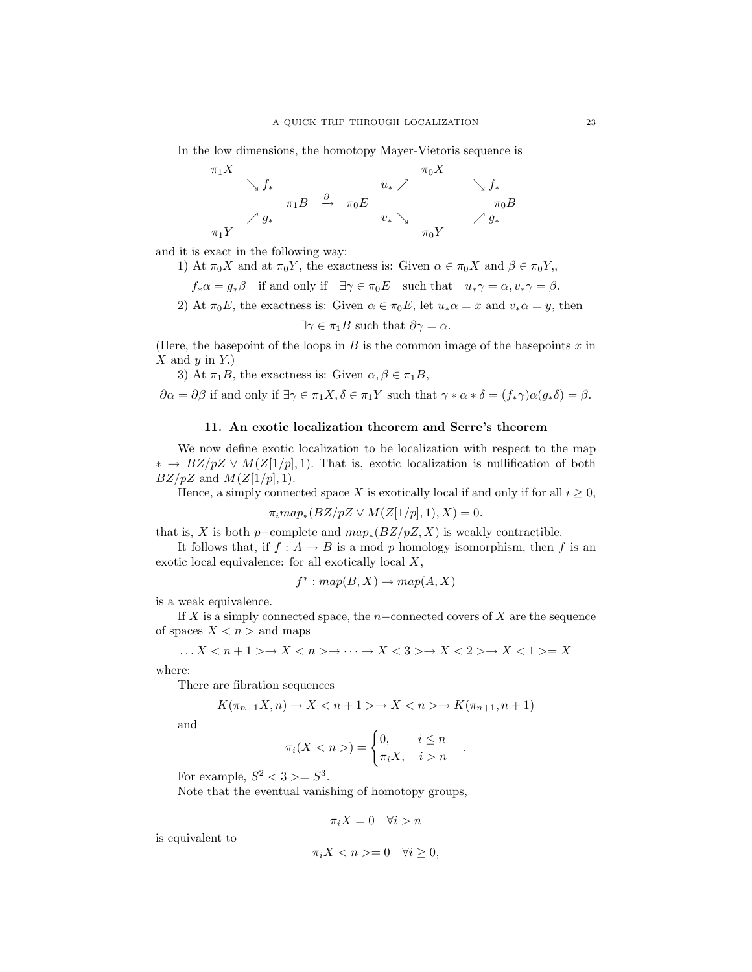In the low dimensions, the homotopy Mayer-Vietoris sequence is

π1X π0X ց f<sup>∗</sup> u<sup>∗</sup> ր ց f<sup>∗</sup> π1B <sup>∂</sup>−→ π0E π0B ր g<sup>∗</sup> v<sup>∗</sup> ց ր g<sup>∗</sup> π1Y π0Y

and it is exact in the following way:

- 1) At  $\pi_0 X$  and at  $\pi_0 Y$ , the exactness is: Given  $\alpha \in \pi_0 X$  and  $\beta \in \pi_0 Y$ ,
	- $f_*\alpha = g_*\beta$  if and only if  $\exists \gamma \in \pi_0 E$  such that  $u_*\gamma = \alpha, v_*\gamma = \beta$ .
- 2) At  $\pi_0 E$ , the exactness is: Given  $\alpha \in \pi_0 E$ , let  $u_*\alpha = x$  and  $v_*\alpha = y$ , then

$$
\exists \gamma \in \pi_1 B
$$
 such that  $\partial \gamma = \alpha$ .

(Here, the basepoint of the loops in  $B$  is the common image of the basepoints  $x$  in  $X$  and  $y$  in  $Y$ .)

3) At  $\pi_1B$ , the exactness is: Given  $\alpha, \beta \in \pi_1B$ ,

 $\partial \alpha = \partial \beta$  if and only if  $\exists \gamma \in \pi_1 X, \delta \in \pi_1 Y$  such that  $\gamma * \alpha * \delta = (f_* \gamma) \alpha (g_* \delta) = \beta$ .

## 11. An exotic localization theorem and Serre's theorem

We now define exotic localization to be localization with respect to the map  $\ast \rightarrow BZ/pZ \vee M(Z[1/p], 1)$ . That is, exotic localization is nullification of both  $BZ/pZ$  and  $M(Z[1/p], 1)$ .

Hence, a simply connected space X is exotically local if and only if for all  $i \geq 0$ ,

$$
\pi_i map_*(BZ/pZ \vee M(Z[1/p], 1), X) = 0.
$$

that is, X is both p-complete and  $map_*(BZ/pZ, X)$  is weakly contractible.

It follows that, if  $f : A \to B$  is a mod p homology isomorphism, then f is an exotic local equivalence: for all exotically local X,

$$
f^* : map(B, X) \to map(A, X)
$$

is a weak equivalence.

If X is a simply connected space, the n–connected covers of X are the sequence of spaces  $X < n$  > and maps

$$
\ldots X\rightarrow X\rightarrow \cdots \rightarrow X<3>\rightarrow X<2>\rightarrow X<1>=X
$$

where:

There are fibration sequences

$$
K(\pi_{n+1}X, n) \to X < n+1 > \to X < n > \to K(\pi_{n+1}, n+1)
$$

and

$$
\pi_i(X < n >) = \begin{cases} 0, & i \le n \\ \pi_i X, & i > n \end{cases}
$$

.

For example,  $S^2 < 3 > = S^3$ .

Note that the eventual vanishing of homotopy groups,

$$
\pi_i X = 0 \quad \forall i > n
$$

is equivalent to

$$
\pi_i X < n > = 0 \quad \forall i \ge 0,
$$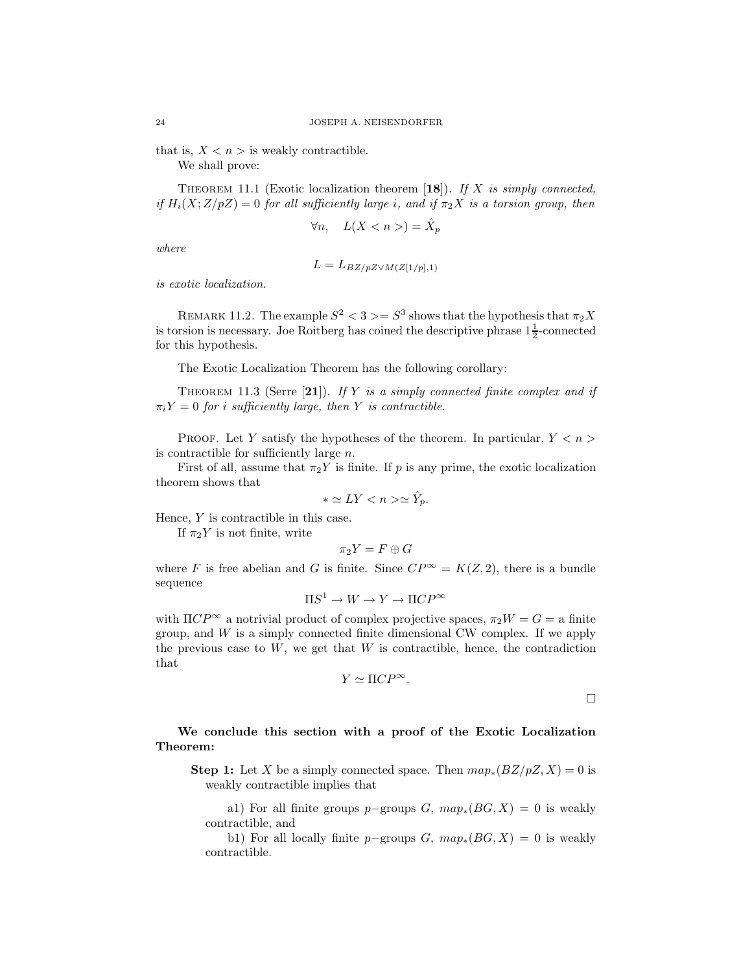that is,  $X < n$  is weakly contractible.

We shall prove:

THEOREM 11.1 (Exotic localization theorem [18]). If X is simply connected, if  $H_i(X;Z/pZ) = 0$  for all sufficiently large i, and if  $\pi_2 X$  is a torsion group, then

$$
\forall n, \quad L(X < n >) = \hat{X}_p
$$

where

$$
L = L_{BZ/pZ \vee M(Z[1/p],1)}
$$

is exotic localization.

REMARK 11.2. The example  $S^2 < 3 > = S^3$  shows that the hypothesis that  $\pi_2 X$ is torsion is necessary. Joe Roitberg has coined the descriptive phrase  $1\frac{1}{2}$ -connected for this hypothesis.

The Exotic Localization Theorem has the following corollary:

THEOREM 11.3 (Serre [21]). If Y is a simply connected finite complex and if  $\pi_i Y = 0$  for i sufficiently large, then Y is contractible.

PROOF. Let Y satisfy the hypotheses of the theorem. In particular,  $Y \leq n$ is contractible for sufficiently large  $n$ .

First of all, assume that  $\pi_2 Y$  is finite. If p is any prime, the exotic localization theorem shows that

$$
* \simeq LY < n > \simeq \hat{Y}_p.
$$

Hence, Y is contractible in this case.

If  $\pi_2 Y$  is not finite, write

$$
\pi_2Y=F\oplus G
$$

where F is free abelian and G is finite. Since  $CP^{\infty} = K(Z, 2)$ , there is a bundle sequence

$$
\Pi S^1 \to W \to Y \to \Pi CP^{\infty}
$$

with  $\Pi CP^{\infty}$  a notrivial product of complex projective spaces,  $\pi_2 W = G =$  a finite group, and  $W$  is a simply connected finite dimensional CW complex. If we apply the previous case to  $W$ , we get that  $W$  is contractible, hence, the contradiction that

$$
Y \simeq \Pi CP^{\infty}.
$$

 $\Box$ 

## We conclude this section with a proof of the Exotic Localization Theorem:

**Step 1:** Let X be a simply connected space. Then  $map_*(BZ/pZ, X) = 0$  is weakly contractible implies that

a1) For all finite groups p–groups G,  $map_*(BG, X) = 0$  is weakly contractible, and

b1) For all locally finite p–groups G,  $map_*(BG, X) = 0$  is weakly contractible.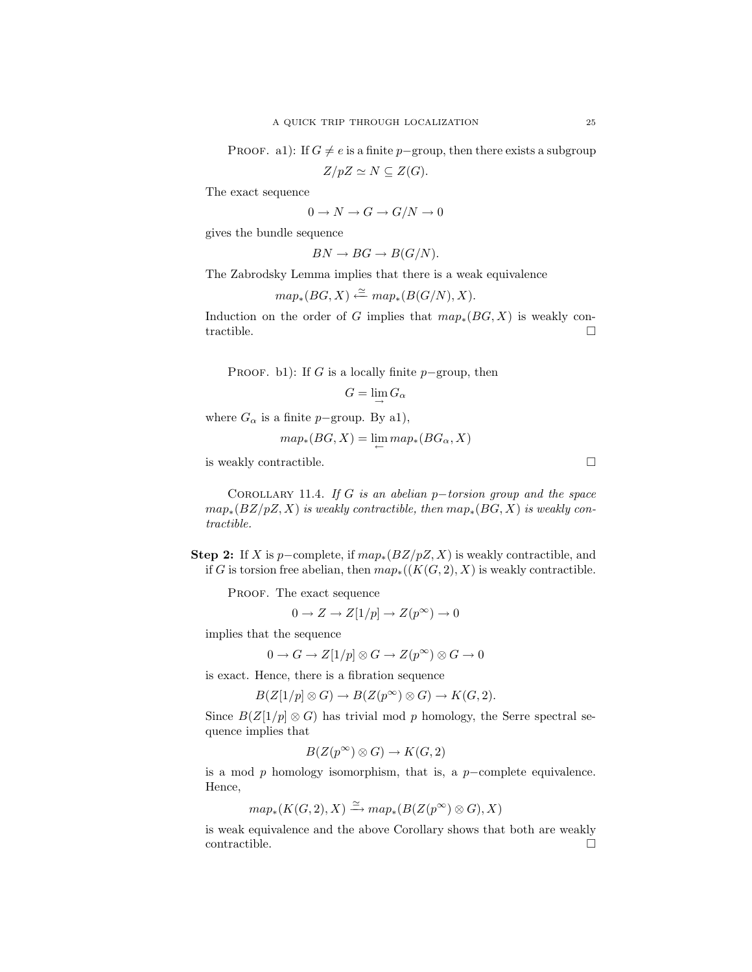PROOF. a1): If  $G \neq e$  is a finite p−group, then there exists a subgroup

 $Z/pZ \simeq N \subseteq Z(G).$ 

The exact sequence

$$
0 \to N \to G \to G/N \to 0
$$

gives the bundle sequence

 $BN \to BG \to B(G/N).$ 

The Zabrodsky Lemma implies that there is a weak equivalence

 $map_*(BG, X) \stackrel{\simeq}{\leftarrow} map_*(B(G/N), X).$ 

Induction on the order of G implies that  $map_*(BG, X)$  is weakly contractible.  $\Box$ 

PROOF. b1): If G is a locally finite  $p$ -group, then

$$
G=\lim_{\rightarrow} G_{\alpha}
$$

where  $G_{\alpha}$  is a finite p-group. By a1),

$$
map_*(BG, X) = \lim_{\leftarrow} map_*(BG_{\alpha}, X)
$$

is weakly contractible.

COROLLARY 11.4. If G is an abelian  $p-torsion$  group and the space  $map_*(BZ/pZ, X)$  is weakly contractible, then  $map_*(BG, X)$  is weakly contractible.

Step 2: If X is p-complete, if  $map_*(BZ/pZ, X)$  is weakly contractible, and if G is torsion free abelian, then  $map_*(K(G, 2), X)$  is weakly contractible.

PROOF. The exact sequence

$$
0 \to Z \to Z[1/p] \to Z(p^{\infty}) \to 0
$$

implies that the sequence

$$
0 \to G \to Z[1/p] \otimes G \to Z(p^{\infty}) \otimes G \to 0
$$

is exact. Hence, there is a fibration sequence

 $B(Z[1/p] \otimes G) \to B(Z(p^{\infty}) \otimes G) \to K(G, 2).$ 

Since  $B(Z|1/p] \otimes G$ ) has trivial mod p homology, the Serre spectral sequence implies that

$$
B(Z(p^{\infty}) \otimes G) \to K(G, 2)
$$

is a mod  $p$  homology isomorphism, that is, a  $p$ -complete equivalence. Hence,

$$
map_*(K(G,2),X) \xrightarrow{\simeq} map_*(B(Z(p^\infty) \otimes G),X)
$$

is weak equivalence and the above Corollary shows that both are weakly contractible.  $\Box$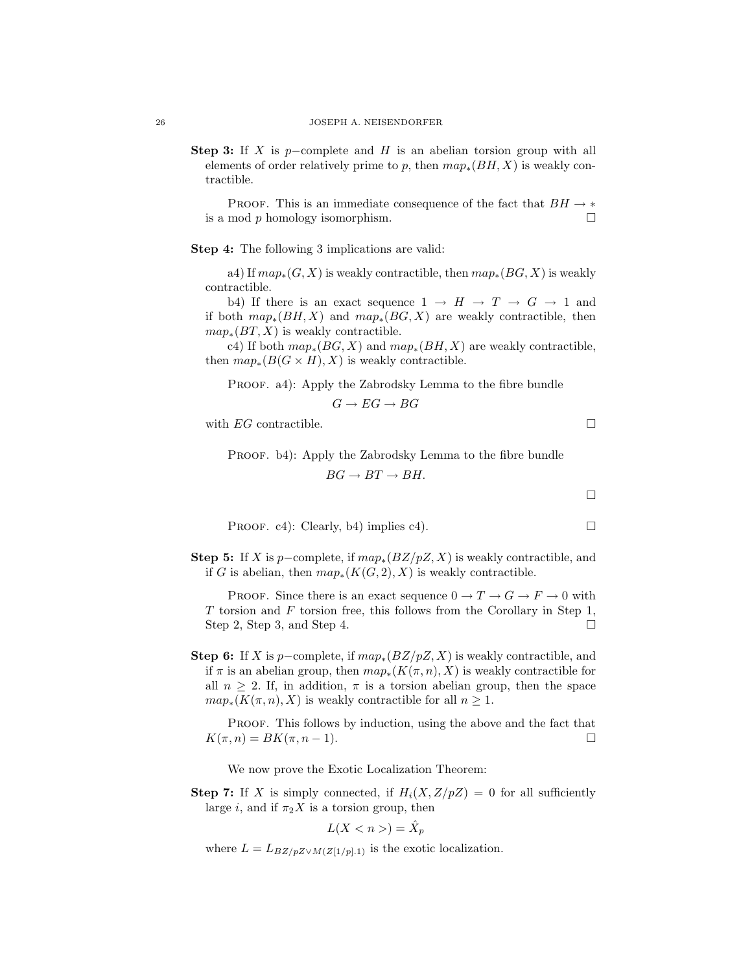Step 3: If X is p−complete and H is an abelian torsion group with all elements of order relatively prime to p, then  $map_*(BH, X)$  is weakly contractible.

PROOF. This is an immediate consequence of the fact that  $BH \rightarrow *$ is a mod p homology isomorphism.  $\square$ 

Step 4: The following 3 implications are valid:

a4) If  $map_*(G, X)$  is weakly contractible, then  $map_*(BG, X)$  is weakly contractible.

b4) If there is an exact sequence  $1 \rightarrow H \rightarrow T \rightarrow G \rightarrow 1$  and if both  $map_*(BH, X)$  and  $map_*(BG, X)$  are weakly contractible, then  $map_*(BT, X)$  is weakly contractible.

c4) If both  $map_*(BG, X)$  and  $map_*(BH, X)$  are weakly contractible, then  $map_*(B(G \times H), X)$  is weakly contractible.

PROOF. a4): Apply the Zabrodsky Lemma to the fibre bundle

$$
G \to EG \to BG
$$

with  $EG$  contractible.

PROOF. b4): Apply the Zabrodsky Lemma to the fibre bundle

$$
BG \to BT \to BH.
$$

$$
\Box
$$

PROOF. c4): Clearly, b4) implies c4).

Step 5: If X is p-complete, if  $map_*(BZ/pZ, X)$  is weakly contractible, and if G is abelian, then  $map_*(K(G, 2), X)$  is weakly contractible.

PROOF. Since there is an exact sequence  $0 \to T \to G \to F \to 0$  with T torsion and F torsion free, this follows from the Corollary in Step 1, Step 2, Step 3, and Step 4.

Step 6: If X is p-complete, if  $map_*(BZ/pZ, X)$  is weakly contractible, and if  $\pi$  is an abelian group, then  $map_*(K(\pi, n), X)$  is weakly contractible for all  $n \geq 2$ . If, in addition,  $\pi$  is a torsion abelian group, then the space  $map_*(K(\pi, n), X)$  is weakly contractible for all  $n \geq 1$ .

PROOF. This follows by induction, using the above and the fact that  $K(\pi, n) = BK(\pi, n - 1).$ 

We now prove the Exotic Localization Theorem:

**Step 7:** If X is simply connected, if  $H_i(X, Z/pZ) = 0$  for all sufficiently large i, and if  $\pi_2 X$  is a torsion group, then

$$
L(X < n >) = \hat{X}_p
$$

where  $L = L_{BZ/pZ\vee M(Z[1/p].1)}$  is the exotic localization.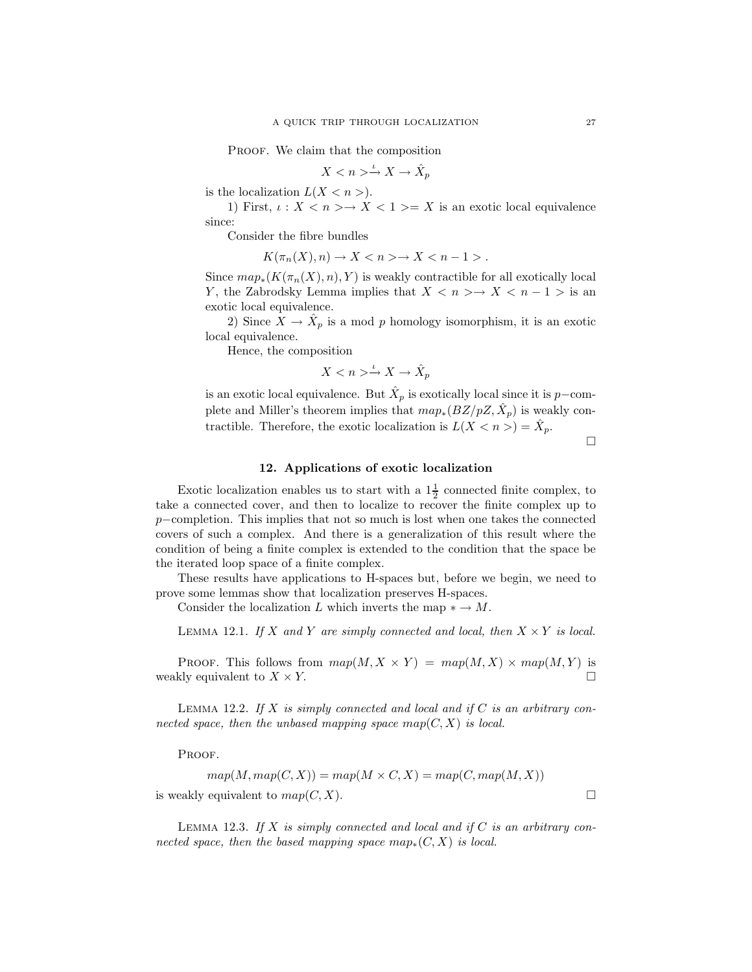PROOF. We claim that the composition

$$
X < n > \xrightarrow{\iota} X \to \hat{X}_p
$$

is the localization  $L(X < n>)$ .

1) First,  $\iota: X \leq n \geq X \leq 1 \geq X$  is an exotic local equivalence since:

Consider the fibre bundles

 $K(\pi_n(X), n) \to X < n > \to X < n - 1$ .

Since  $map_*(K(\pi_n(X), n), Y)$  is weakly contractible for all exotically local Y, the Zabrodsky Lemma implies that  $X \leq n \geq X \leq n-1$  is an exotic local equivalence.

2) Since  $X \to \hat{X}_p$  is a mod p homology isomorphism, it is an exotic local equivalence.

Hence, the composition

 $X < n > \xrightarrow{\iota} X \rightarrow \hat{X}_p$ 

is an exotic local equivalence. But  $\hat{X}_p$  is exotically local since it is p−complete and Miller's theorem implies that  $map_*(BZ/pZ, \hat{X}_p)$  is weakly contractible. Therefore, the exotic localization is  $L(X < n>) = \hat{X}_p$ .

 $\Box$ 

## 12. Applications of exotic localization

Exotic localization enables us to start with a  $1\frac{1}{2}$  connected finite complex, to take a connected cover, and then to localize to recover the finite complex up to p−completion. This implies that not so much is lost when one takes the connected covers of such a complex. And there is a generalization of this result where the condition of being a finite complex is extended to the condition that the space be the iterated loop space of a finite complex.

These results have applications to H-spaces but, before we begin, we need to prove some lemmas show that localization preserves H-spaces.

Consider the localization L which inverts the map  $* \to M$ .

LEMMA 12.1. If X and Y are simply connected and local, then  $X \times Y$  is local.

PROOF. This follows from  $map(M, X \times Y) = map(M, X) \times map(M, Y)$  is weakly equivalent to  $X \times Y$ .

LEMMA 12.2. If X is simply connected and local and if  $C$  is an arbitrary connected space, then the unbased mapping space map( $C, X$ ) is local.

PROOF.

$$
map(M, map(C, X)) = map(M \times C, X) = map(C, map(M, X))
$$
  
is weakly equivalent to  $map(C, X)$ .

LEMMA 12.3. If X is simply connected and local and if  $C$  is an arbitrary connected space, then the based mapping space  $map_*(C, X)$  is local.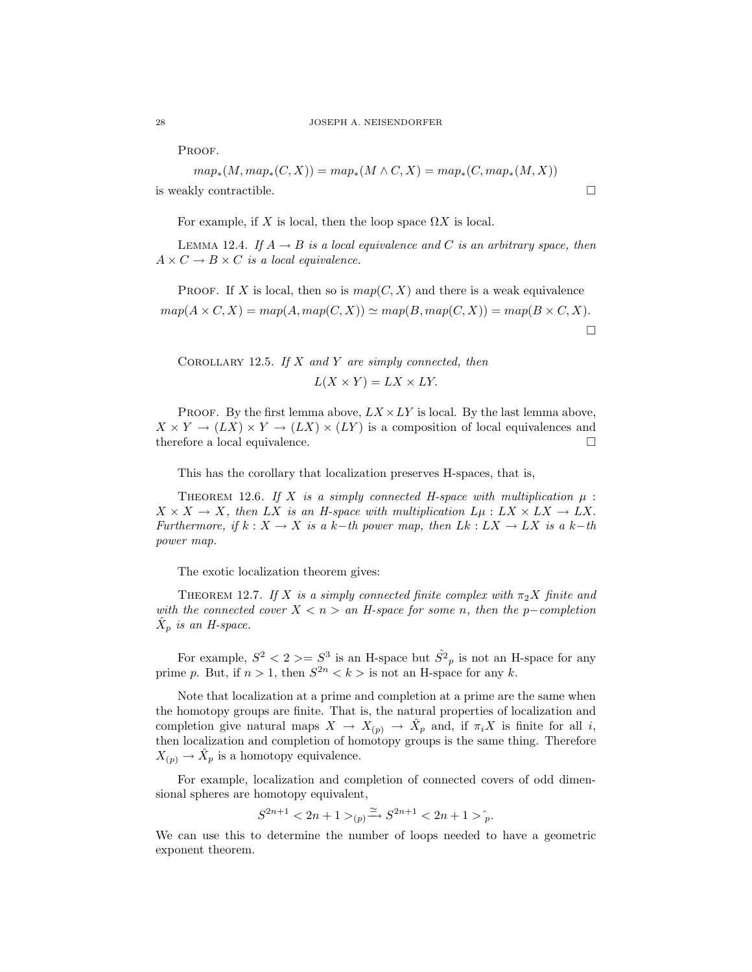PROOF.

$$
map_*(M, map_*(C, X)) = map_*(M \wedge C, X) = map_*(C, map_*(M, X))
$$
  
is weakly contractible.

For example, if X is local, then the loop space  $\Omega X$  is local.

LEMMA 12.4. If  $A \rightarrow B$  is a local equivalence and C is an arbitrary space, then  $A \times C \rightarrow B \times C$  is a local equivalence.

PROOF. If X is local, then so is  $map(C, X)$  and there is a weak equivalence  $map(A \times C, X) = map(A, map(C, X)) \simeq map(B, map(C, X)) = map(B \times C, X).$  $\Box$ 

COROLLARY 12.5. If  $X$  and  $Y$  are simply connected, then

 $L(X \times Y) = LX \times LY.$ 

PROOF. By the first lemma above,  $LX \times LY$  is local. By the last lemma above,  $X \times Y \to (LX) \times Y \to (LX) \times (LY)$  is a composition of local equivalences and therefore a local equivalence.  $\Box$ 

This has the corollary that localization preserves H-spaces, that is,

THEOREM 12.6. If X is a simply connected H-space with multiplication  $\mu$ :  $X \times X \to X$ , then LX is an H-space with multiplication  $L\mu : LX \times LX \to LX$ . Furthermore, if  $k : X \to X$  is a k-th power map, then  $Lk : LX \to LX$  is a k-th power map.

The exotic localization theorem gives:

THEOREM 12.7. If X is a simply connected finite complex with  $\pi_2 X$  finite and with the connected cover  $X < n > an$  H-space for some n, then the p–completion  $\hat{X}_p$  is an H-space.

For example,  $S^2 < 2 > = S^3$  is an H-space but  $\hat{S}^2{}_p$  is not an H-space for any prime p. But, if  $n > 1$ , then  $S^{2n} < k > 1$  is not an H-space for any k.

Note that localization at a prime and completion at a prime are the same when the homotopy groups are finite. That is, the natural properties of localization and completion give natural maps  $X \to X_{(p)} \to \hat{X}_p$  and, if  $\pi_i X$  is finite for all i, then localization and completion of homotopy groups is the same thing. Therefore  $X_{(p)} \to \hat{X}_p$  is a homotopy equivalence.

For example, localization and completion of connected covers of odd dimensional spheres are homotopy equivalent,

$$
S^{2n+1} < 2n+1 >_{(p)} \xrightarrow{\simeq} S^{2n+1} < 2n+1 >_{p}^{\hat{}}.
$$

We can use this to determine the number of loops needed to have a geometric exponent theorem.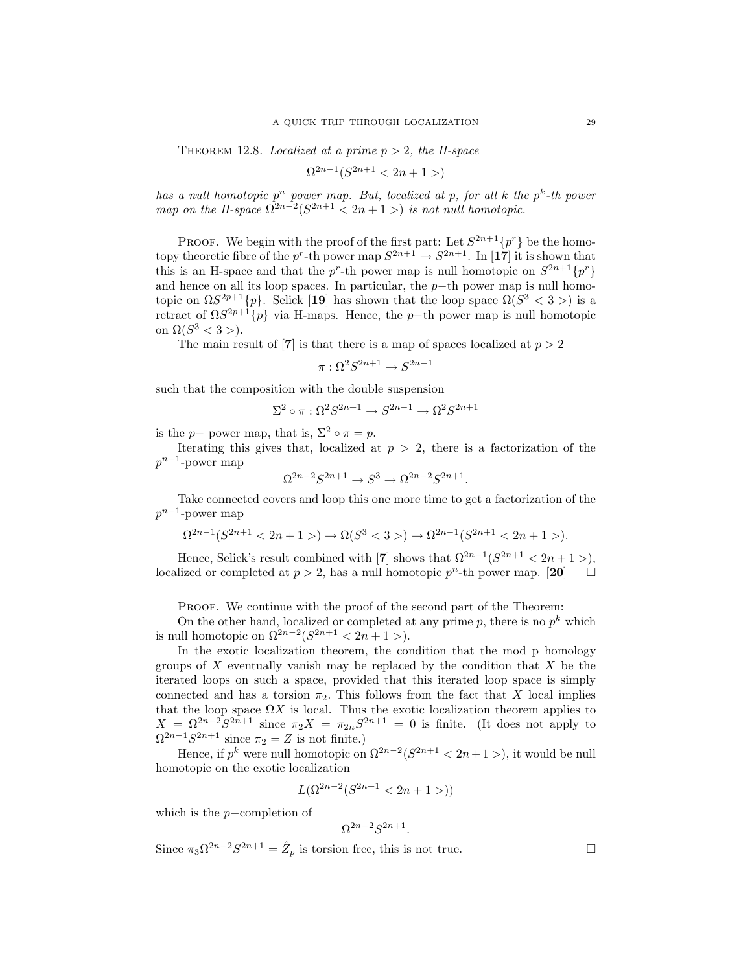THEOREM 12.8. Localized at a prime  $p > 2$ , the H-space

$$
\Omega^{2n-1}(S^{2n+1} < 2n+1 > )
$$

has a null homotopic  $p^n$  power map. But, localized at p, for all k the  $p^k$ -th power map on the H-space  $\Omega^{2n-2}(S^{2n+1} < 2n+1)$  is not null homotopic.

**PROOF.** We begin with the proof of the first part: Let  $S^{2n+1}{p^r}$  be the homotopy theoretic fibre of the  $p^r$ -th power map  $S^{2n+1} \to S^{2n+1}$ . In [17] it is shown that this is an H-space and that the  $p^r$ -th power map is null homotopic on  $S^{2n+1}{p^r}$ and hence on all its loop spaces. In particular, the  $p$ −th power map is null homotopic on  $\Omega S^{2p+1}{p}$ . Selick [19] has shown that the loop space  $\Omega(S^3 < 3 >)$  is a retract of  $\Omega S^{2p+1}{p}$  via H-maps. Hence, the p-th power map is null homotopic on  $\Omega(S^3 < 3 >)$ .

The main result of [7] is that there is a map of spaces localized at  $p > 2$ 

$$
\pi: \Omega^2 S^{2n+1} \to S^{2n-1}
$$

such that the composition with the double suspension

$$
\Sigma^2\circ\pi:\Omega^2S^{2n+1}\to S^{2n-1}\to\Omega^2S^{2n+1}
$$

is the *p*− power map, that is,  $\Sigma^2 \circ \pi = p$ .

Iterating this gives that, localized at  $p > 2$ , there is a factorization of the  $p^{n-1}$ -power map

$$
\Omega^{2n-2}S^{2n+1} \to S^3 \to \Omega^{2n-2}S^{2n+1}.
$$

Take connected covers and loop this one more time to get a factorization of the  $p^{n-1}$ -power map

$$
\Omega^{2n-1}(S^{2n+1} < 2n+1) \to \Omega(S^3 < 3) \to \Omega^{2n-1}(S^{2n+1} < 2n+1) \to 0
$$

Hence, Selick's result combined with [7] shows that  $\Omega^{2n-1}(S^{2n+1} < 2n+1)$ , localized or completed at  $p > 2$ , has a null homotopic  $p^n$ -th power map. [20]

PROOF. We continue with the proof of the second part of the Theorem:

On the other hand, localized or completed at any prime  $p$ , there is no  $p^k$  which is null homotopic on  $\Omega^{2n-2}(S^{2n+1} < 2n + 1)$ .

In the exotic localization theorem, the condition that the mod p homology groups of  $X$  eventually vanish may be replaced by the condition that  $X$  be the iterated loops on such a space, provided that this iterated loop space is simply connected and has a torsion  $\pi_2$ . This follows from the fact that X local implies that the loop space  $\Omega X$  is local. Thus the exotic localization theorem applies to  $X = \Omega^{2n-2} S^{2n+1}$  since  $\pi_2 X = \pi_{2n} S^{2n+1} = 0$  is finite. (It does not apply to  $\Omega^{2n-1}S^{2n+1}$  since  $\pi_2 = Z$  is not finite.)

Hence, if  $p^k$  were null homotopic on  $\Omega^{2n-2}(S^{2n+1} < 2n+1)$ , it would be null homotopic on the exotic localization

$$
L(\Omega^{2n-2}(S^{2n+1} < 2n+1 >))
$$

which is the p−completion of

$$
\Omega^{2n-2}S^{2n+1}.
$$

Since  $\pi_3 \Omega^{2n-2} S^{2n+1} = \hat{Z}_p$  is torsion free, this is not true.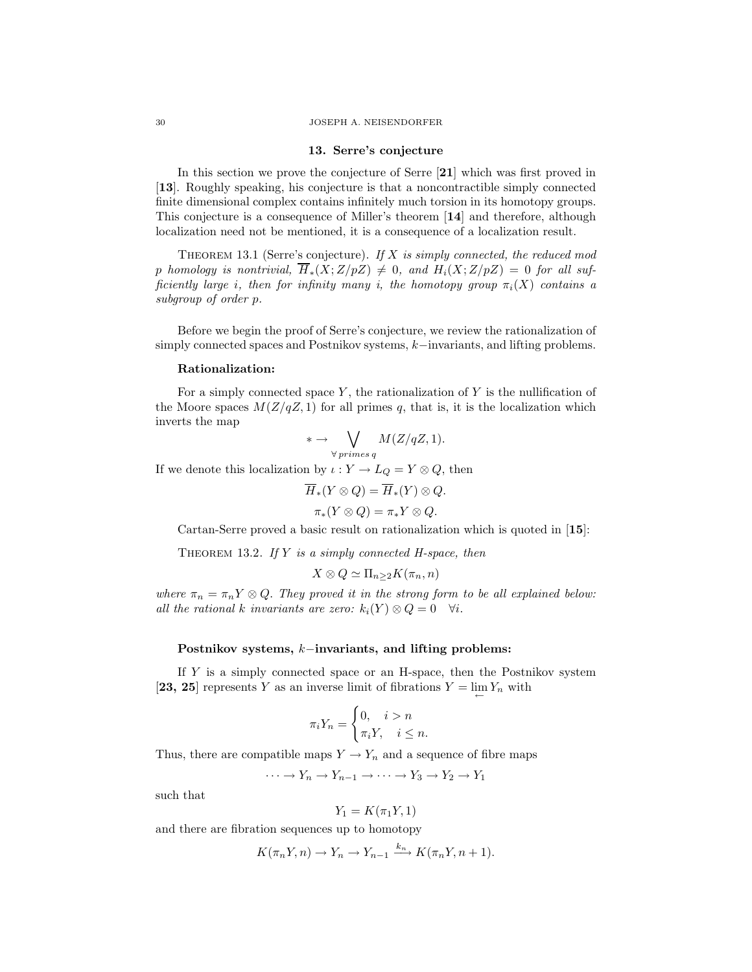#### 13. Serre's conjecture

In this section we prove the conjecture of Serre [21] which was first proved in [13]. Roughly speaking, his conjecture is that a noncontractible simply connected finite dimensional complex contains infinitely much torsion in its homotopy groups. This conjecture is a consequence of Miller's theorem [14] and therefore, although localization need not be mentioned, it is a consequence of a localization result.

THEOREM 13.1 (Serre's conjecture). If  $X$  is simply connected, the reduced mod p homology is nontrivial,  $\overline{H}_*(X;Z/pZ) \neq 0$ , and  $H_i(X;Z/pZ) = 0$  for all sufficiently large i, then for infinity many i, the homotopy group  $\pi_i(X)$  contains a subgroup of order p.

Before we begin the proof of Serre's conjecture, we review the rationalization of simply connected spaces and Postnikov systems, k−invariants, and lifting problems.

#### Rationalization:

For a simply connected space  $Y$ , the rationalization of  $Y$  is the nullification of the Moore spaces  $M(Z/qZ, 1)$  for all primes q, that is, it is the localization which inverts the map

$$
*\rightarrow \bigvee_{\forall primes q} M(Z/qZ,1).
$$

If we denote this localization by  $\iota: Y \to L_Q = Y \otimes Q$ , then

$$
\overline{H}_*(Y \otimes Q) = \overline{H}_*(Y) \otimes Q.
$$
  

$$
\pi_*(Y \otimes Q) = \pi_*Y \otimes Q.
$$

Cartan-Serre proved a basic result on rationalization which is quoted in [15]:

THEOREM 13.2. If  $Y$  is a simply connected H-space, then

$$
X \otimes Q \simeq \Pi_{n \geq 2} K(\pi_n, n)
$$

where  $\pi_n = \pi_n Y \otimes Q$ . They proved it in the strong form to be all explained below: all the rational k invariants are zero:  $k_i(Y) \otimes Q = 0 \quad \forall i$ .

### Postnikov systems, k−invariants, and lifting problems:

If Y is a simply connected space or an H-space, then the Postnikov system [23, 25] represents Y as an inverse limit of fibrations  $Y = \lim_{\leftarrow} Y_n$  with

$$
\pi_i Y_n = \begin{cases} 0, & i > n \\ \pi_i Y, & i \leq n. \end{cases}
$$

Thus, there are compatible maps  $Y \to Y_n$  and a sequence of fibre maps

$$
\cdots \to Y_n \to Y_{n-1} \to \cdots \to Y_3 \to Y_2 \to Y_1
$$

such that

$$
Y_1 = K(\pi_1 Y, 1)
$$

and there are fibration sequences up to homotopy

$$
K(\pi_n Y, n) \to Y_n \to Y_{n-1} \xrightarrow{k_n} K(\pi_n Y, n+1).
$$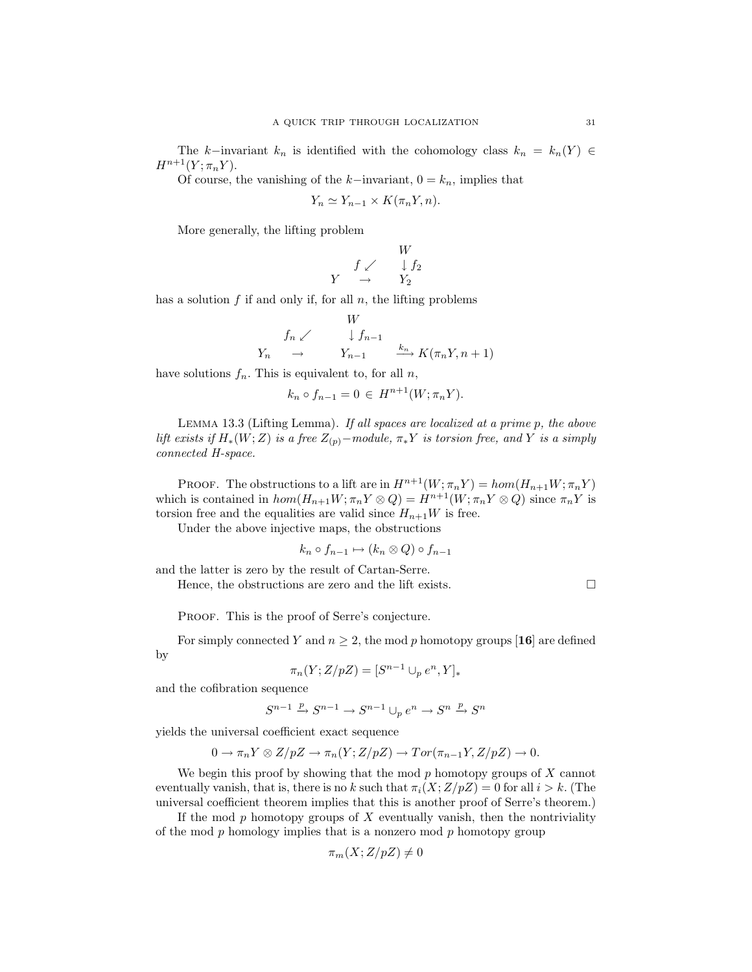The k–invariant  $k_n$  is identified with the cohomology class  $k_n = k_n(Y) \in$  $H^{n+1}(Y;\pi_nY).$ 

Of course, the vanishing of the k−invariant,  $0 = k_n$ , implies that

$$
Y_n \simeq Y_{n-1} \times K(\pi_n Y, n).
$$

More generally, the lifting problem

$$
\begin{array}{ccc}\n & & W \\
 & f \swarrow & \downarrow f_2 \\
Y & \to & Y_2\n\end{array}
$$

has a solution  $f$  if and only if, for all  $n$ , the lifting problems

$$
Y_n \swarrow \qquad \downarrow f_{n-1}
$$
\n
$$
Y_n \qquad \to \qquad Y_{n-1} \qquad \xrightarrow{k_n} K(\pi_n Y, n+1)
$$

TX7

have solutions  $f_n$ . This is equivalent to, for all n,

$$
k_n \circ f_{n-1} = 0 \in H^{n+1}(W; \pi_n Y).
$$

Lemma 13.3 (Lifting Lemma). If all spaces are localized at a prime p, the above lift exists if  $H_*(W;Z)$  is a free  $Z_{(p)}$ -module,  $\pi_*Y$  is torsion free, and Y is a simply connected H-space.

PROOF. The obstructions to a lift are in  $H^{n+1}(W; \pi_n Y) = hom(H_{n+1}W; \pi_n Y)$ which is contained in  $hom(H_{n+1}W; \pi_n Y \otimes Q) = H^{n+1}(W; \pi_n Y \otimes Q)$  since  $\pi_n Y$  is torsion free and the equalities are valid since  $H_{n+1}W$  is free.

Under the above injective maps, the obstructions

$$
k_n \circ f_{n-1} \mapsto (k_n \otimes Q) \circ f_{n-1}
$$

and the latter is zero by the result of Cartan-Serre.

Hence, the obstructions are zero and the lift exists.  $\Box$ 

PROOF. This is the proof of Serre's conjecture.

For simply connected Y and  $n \geq 2$ , the mod p homotopy groups [16] are defined

$$
\pi_n(Y; Z/pZ) = [S^{n-1} \cup_p e^n, Y]_*
$$

and the cofibration sequence

by

$$
S^{n-1} \xrightarrow{p} S^{n-1} \to S^{n-1} \cup_p e^n \to S^n \xrightarrow{p} S^n
$$

yields the universal coefficient exact sequence

$$
0 \to \pi_n Y \otimes Z/pZ \to \pi_n(Y; Z/pZ) \to Tor(\pi_{n-1}Y, Z/pZ) \to 0.
$$

We begin this proof by showing that the mod  $p$  homotopy groups of  $X$  cannot eventually vanish, that is, there is no k such that  $\pi_i(X;Z/pZ) = 0$  for all  $i > k$ . (The universal coefficient theorem implies that this is another proof of Serre's theorem.)

If the mod  $p$  homotopy groups of  $X$  eventually vanish, then the nontriviality of the mod  $p$  homology implies that is a nonzero mod  $p$  homotopy group

$$
\pi_m(X; Z/pZ) \neq 0
$$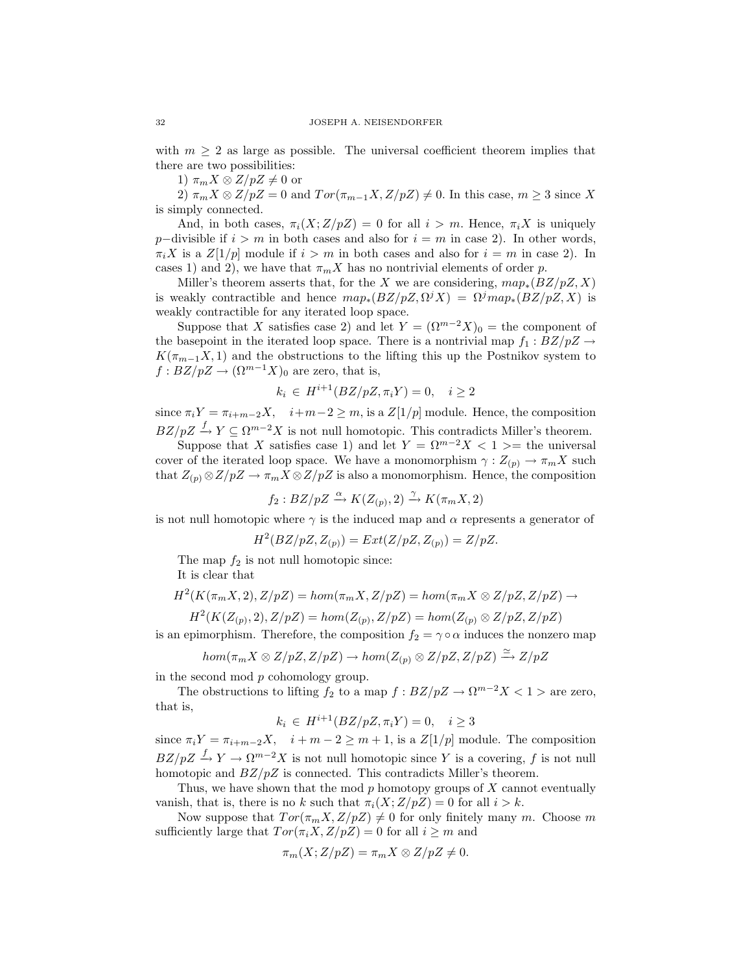with  $m \geq 2$  as large as possible. The universal coefficient theorem implies that there are two possibilities:

1)  $\pi_m X \otimes Z/pZ \neq 0$  or

2)  $\pi_m X \otimes Z/pZ = 0$  and  $Tor(\pi_{m-1}X, Z/pZ) \neq 0$ . In this case,  $m \geq 3$  since X is simply connected.

And, in both cases,  $\pi_i(X;Z/pZ) = 0$  for all  $i > m$ . Hence,  $\pi_i X$  is uniquely p−divisible if  $i > m$  in both cases and also for  $i = m$  in case 2). In other words,  $\pi_i X$  is a  $Z[1/p]$  module if  $i > m$  in both cases and also for  $i = m$  in case 2). In cases 1) and 2), we have that  $\pi_m X$  has no nontrivial elements of order p.

Miller's theorem asserts that, for the X we are considering,  $map_*(BZ/pZ, X)$ is weakly contractible and hence  $map_*(BZ/pZ, \Omega^j X) = \Omega^j map_*(BZ/pZ, X)$  is weakly contractible for any iterated loop space.

Suppose that X satisfies case 2) and let  $Y = (\Omega^{m-2}X)_0 =$  the component of the basepoint in the iterated loop space. There is a nontrivial map  $f_1 : BZ/pZ \rightarrow$  $K(\pi_{m-1}X, 1)$  and the obstructions to the lifting this up the Postnikov system to  $f : BZ/pZ \to (\Omega^{m-1}X)_0$  are zero, that is,

$$
k_i \in H^{i+1}(BZ/pZ, \pi_i Y) = 0, \quad i \ge 2
$$

since  $\pi_i Y = \pi_{i+m-2} X$ ,  $i+m-2 \geq m$ , is a  $Z[1/p]$  module. Hence, the composition  $BZ/pZ \xrightarrow{f} Y \subseteq \Omega^{m-2}X$  is not null homotopic. This contradicts Miller's theorem.

Suppose that X satisfies case 1) and let  $Y = \Omega^{m-2}X < 1$  >= the universal cover of the iterated loop space. We have a monomorphism  $\gamma: Z_{(p)} \to \pi_m X$  such that  $Z_{(p)} \otimes Z/pZ \to \pi_m X \otimes Z/pZ$  is also a monomorphism. Hence, the composition

$$
f_2: BZ/pZ \xrightarrow{\alpha} K(Z_{(p)}, 2) \xrightarrow{\gamma} K(\pi_m X, 2)
$$

is not null homotopic where  $\gamma$  is the induced map and  $\alpha$  represents a generator of

$$
H^2(BZ/pZ, Z_{(p)}) = Ext(Z/pZ, Z_{(p)}) = Z/pZ.
$$

The map  $f_2$  is not null homotopic since:

It is clear that

$$
H^2(K(\pi_m X, 2), Z/pZ) = hom(\pi_m X, Z/pZ) = hom(\pi_m X \otimes Z/pZ, Z/pZ) \rightarrow
$$

$$
H^2(K(Z_{(p)}, 2), Z/pZ) = hom(Z_{(p)}, Z/pZ) = hom(Z_{(p)} \otimes Z/pZ, Z/pZ)
$$

is an epimorphism. Therefore, the composition  $f_2 = \gamma \circ \alpha$  induces the nonzero map

$$
hom(\pi_m X \otimes Z/pZ, Z/pZ) \to hom(Z_{(p)} \otimes Z/pZ, Z/pZ) \xrightarrow{\simeq} Z/pZ
$$

in the second mod p cohomology group.

The obstructions to lifting  $f_2$  to a map  $f : BZ/pZ \to \Omega^{m-2}X < 1$  > are zero, that is,

$$
k_i \in H^{i+1}(BZ/pZ, \pi_i Y) = 0, \quad i \ge 3
$$

since  $\pi_i Y = \pi_{i+m-2} X$ ,  $i+m-2 \geq m+1$ , is a  $Z[1/p]$  module. The composition  $BZ/pZ \stackrel{f}{\rightarrow} Y \rightarrow \Omega^{m-2}X$  is not null homotopic since Y is a covering, f is not null homotopic and  $BZ/pZ$  is connected. This contradicts Miller's theorem.

Thus, we have shown that the mod  $p$  homotopy groups of  $X$  cannot eventually vanish, that is, there is no k such that  $\pi_i(X;Z/pZ) = 0$  for all  $i > k$ .

Now suppose that  $Tor(\pi_m X, Z/pZ) \neq 0$  for only finitely many m. Choose m sufficiently large that  $Tor(\pi_i X, Z/pZ) = 0$  for all  $i \geq m$  and

$$
\pi_m(X; Z/pZ) = \pi_m X \otimes Z/pZ \neq 0.
$$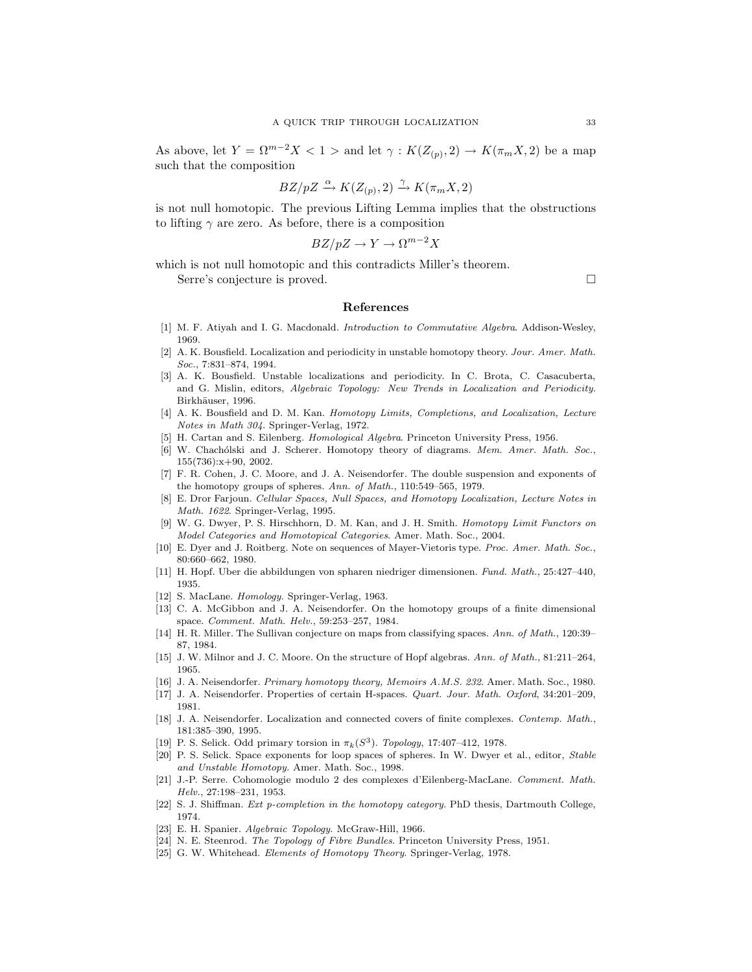As above, let  $Y = \Omega^{m-2}X < 1$  > and let  $\gamma : K(Z_{(p)}, 2) \to K(\pi_m X, 2)$  be a map such that the composition

$$
BZ/pZ \xrightarrow{\alpha} K(Z_{(p)}, 2) \xrightarrow{\gamma} K(\pi_m X, 2)
$$

is not null homotopic. The previous Lifting Lemma implies that the obstructions to lifting  $\gamma$  are zero. As before, there is a composition

$$
BZ/pZ \to Y \to \Omega^{m-2}X
$$

which is not null homotopic and this contradicts Miller's theorem. Serre's conjecture is proved.

#### References

- [1] M. F. Atiyah and I. G. Macdonald. Introduction to Commutative Algebra. Addison-Wesley, 1969.
- [2] A. K. Bousfield. Localization and periodicity in unstable homotopy theory. Jour. Amer. Math. Soc., 7:831–874, 1994.
- [3] A. K. Bousfield. Unstable localizations and periodicity. In C. Brota, C. Casacuberta, and G. Mislin, editors, Algebraic Topology: New Trends in Localization and Periodicity. Birkhäuser, 1996.
- [4] A. K. Bousfield and D. M. Kan. Homotopy Limits, Completions, and Localization, Lecture Notes in Math 304. Springer-Verlag, 1972.
- [5] H. Cartan and S. Eilenberg. Homological Algebra. Princeton University Press, 1956.
- [6] W. Chachólski and J. Scherer. Homotopy theory of diagrams. Mem. Amer. Math. Soc., 155(736):x+90, 2002.
- [7] F. R. Cohen, J. C. Moore, and J. A. Neisendorfer. The double suspension and exponents of the homotopy groups of spheres. Ann. of Math., 110:549–565, 1979.
- [8] E. Dror Farjoun. Cellular Spaces, Null Spaces, and Homotopy Localization, Lecture Notes in Math. 1622. Springer-Verlag, 1995.
- [9] W. G. Dwyer, P. S. Hirschhorn, D. M. Kan, and J. H. Smith. Homotopy Limit Functors on Model Categories and Homotopical Categories. Amer. Math. Soc., 2004.
- [10] E. Dyer and J. Roitberg. Note on sequences of Mayer-Vietoris type. Proc. Amer. Math. Soc., 80:660–662, 1980.
- [11] H. Hopf. Uber die abbildungen von spharen niedriger dimensionen. Fund. Math., 25:427–440, 1935.
- [12] S. MacLane. Homology. Springer-Verlag, 1963.
- [13] C. A. McGibbon and J. A. Neisendorfer. On the homotopy groups of a finite dimensional space. Comment. Math. Helv., 59:253–257, 1984.
- [14] H. R. Miller. The Sullivan conjecture on maps from classifying spaces. Ann. of Math., 120:39– 87, 1984.
- [15] J. W. Milnor and J. C. Moore. On the structure of Hopf algebras. Ann. of Math., 81:211–264, 1965.
- [16] J. A. Neisendorfer. Primary homotopy theory, Memoirs A.M.S. 232. Amer. Math. Soc., 1980.
- [17] J. A. Neisendorfer. Properties of certain H-spaces. Quart. Jour. Math. Oxford, 34:201–209, 1981.
- [18] J. A. Neisendorfer. Localization and connected covers of finite complexes. Contemp. Math., 181:385–390, 1995.
- [19] P. S. Selick. Odd primary torsion in  $\pi_k(S^3)$ . Topology, 17:407-412, 1978.
- [20] P. S. Selick. Space exponents for loop spaces of spheres. In W. Dwyer et al., editor, Stable and Unstable Homotopy. Amer. Math. Soc., 1998.
- [21] J.-P. Serre. Cohomologie modulo 2 des complexes d'Eilenberg-MacLane. Comment. Math. Helv., 27:198–231, 1953.
- [22] S. J. Shiffman. Ext p-completion in the homotopy category. PhD thesis, Dartmouth College, 1974.
- [23] E. H. Spanier. Algebraic Topology. McGraw-Hill, 1966.
- [24] N. E. Steenrod. The Topology of Fibre Bundles. Princeton University Press, 1951.
- [25] G. W. Whitehead. Elements of Homotopy Theory. Springer-Verlag, 1978.